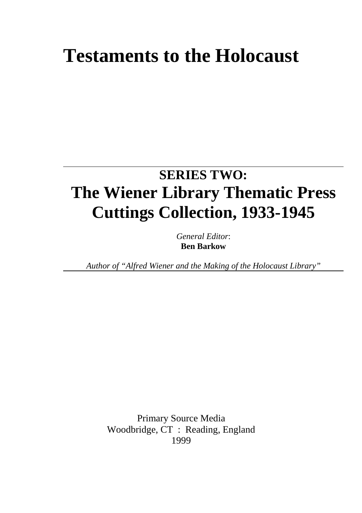# **Testaments to the Holocaust**

# **SERIES TWO: The Wiener Library Thematic Press Cuttings Collection, 1933-1945**

*General Editor*: **Ben Barkow**

*Author of "Alfred Wiener and the Making of the Holocaust Library"*

Primary Source Media Woodbridge, CT : Reading, England 1999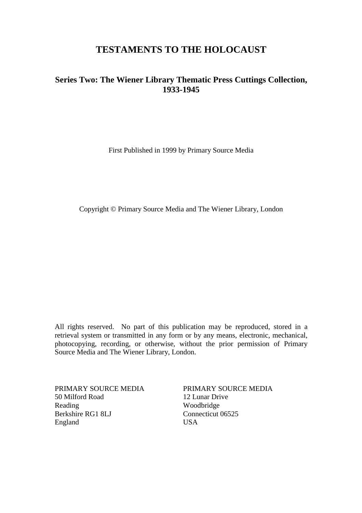# **TESTAMENTS TO THE HOLOCAUST**

# **Series Two: The Wiener Library Thematic Press Cuttings Collection, 1933-1945**

First Published in 1999 by Primary Source Media

Copyright © Primary Source Media and The Wiener Library, London

All rights reserved. No part of this publication may be reproduced, stored in a retrieval system or transmitted in any form or by any means, electronic, mechanical, photocopying, recording, or otherwise, without the prior permission of Primary Source Media and The Wiener Library, London.

PRIMARY SOURCE MEDIA 50 Milford Road Reading Berkshire RG1 8LJ England

PRIMARY SOURCE MEDIA 12 Lunar Drive Woodbridge Connecticut 06525 USA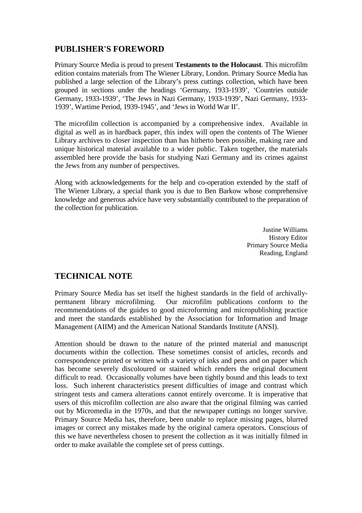# **PUBLISHER'S FOREWORD**

Primary Source Media is proud to present **Testaments to the Holocaust**. This microfilm edition contains materials from The Wiener Library, London. Primary Source Media has published a large selection of the Library's press cuttings collection, which have been grouped in sections under the headings 'Germany, 1933-1939', 'Countries outside Germany, 1933-1939', 'The Jews in Nazi Germany, 1933-1939', Nazi Germany, 1933- 1939', Wartime Period, 1939-1945', and 'Jews in World War II'.

The microfilm collection is accompanied by a comprehensive index. Available in digital as well as in hardback paper, this index will open the contents of The Wiener Library archives to closer inspection than has hitherto been possible, making rare and unique historical material available to a wider public. Taken together, the materials assembled here provide the basis for studying Nazi Germany and its crimes against the Jews from any number of perspectives.

Along with acknowledgements for the help and co-operation extended by the staff of The Wiener Library, a special thank you is due to Ben Barkow whose comprehensive knowledge and generous advice have very substantially contributed to the preparation of the collection for publication.

> Justine Williams History Editor Primary Source Media Reading, England

# **TECHNICAL NOTE**

Primary Source Media has set itself the highest standards in the field of archivallypermanent library microfilming. Our microfilm publications conform to the recommendations of the guides to good microforming and micropublishing practice and meet the standards established by the Association for Information and Image Management (AIIM) and the American National Standards Institute (ANSI).

Attention should be drawn to the nature of the printed material and manuscript documents within the collection. These sometimes consist of articles, records and correspondence printed or written with a variety of inks and pens and on paper which has become severely discoloured or stained which renders the original document difficult to read. Occasionally volumes have been tightly bound and this leads to text loss. Such inherent characteristics present difficulties of image and contrast which stringent tests and camera alterations cannot entirely overcome. It is imperative that users of this microfilm collection are also aware that the original filming was carried out by Micromedia in the 1970s, and that the newspaper cuttings no longer survive. Primary Source Media has, therefore, been unable to replace missing pages, blurred images or correct any mistakes made by the original camera operators. Conscious of this we have nevertheless chosen to present the collection as it was initially filmed in order to make available the complete set of press cuttings.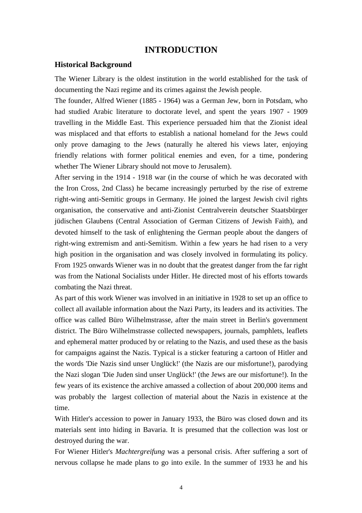#### **INTRODUCTION**

#### **Historical Background**

The Wiener Library is the oldest institution in the world established for the task of documenting the Nazi regime and its crimes against the Jewish people.

The founder, Alfred Wiener (1885 - 1964) was a German Jew, born in Potsdam, who had studied Arabic literature to doctorate level, and spent the years 1907 - 1909 travelling in the Middle East. This experience persuaded him that the Zionist ideal was misplaced and that efforts to establish a national homeland for the Jews could only prove damaging to the Jews (naturally he altered his views later, enjoying friendly relations with former political enemies and even, for a time, pondering whether The Wiener Library should not move to Jerusalem).

After serving in the 1914 - 1918 war (in the course of which he was decorated with the Iron Cross, 2nd Class) he became increasingly perturbed by the rise of extreme right-wing anti-Semitic groups in Germany. He joined the largest Jewish civil rights organisation, the conservative and anti-Zionist Centralverein deutscher Staatsbürger jüdischen Glaubens (Central Association of German Citizens of Jewish Faith), and devoted himself to the task of enlightening the German people about the dangers of right-wing extremism and anti-Semitism. Within a few years he had risen to a very high position in the organisation and was closely involved in formulating its policy. From 1925 onwards Wiener was in no doubt that the greatest danger from the far right was from the National Socialists under Hitler. He directed most of his efforts towards combating the Nazi threat.

As part of this work Wiener was involved in an initiative in 1928 to set up an office to collect all available information about the Nazi Party, its leaders and its activities. The office was called Büro Wilhelmstrasse, after the main street in Berlin's government district. The Büro Wilhelmstrasse collected newspapers, journals, pamphlets, leaflets and ephemeral matter produced by or relating to the Nazis, and used these as the basis for campaigns against the Nazis. Typical is a sticker featuring a cartoon of Hitler and the words 'Die Nazis sind unser Unglück!' (the Nazis are our misfortune!), parodying the Nazi slogan 'Die Juden sind unser Unglück!' (the Jews are our misfortune!). In the few years of its existence the archive amassed a collection of about 200,000 items and was probably the largest collection of material about the Nazis in existence at the time.

With Hitler's accession to power in January 1933, the Büro was closed down and its materials sent into hiding in Bavaria. It is presumed that the collection was lost or destroyed during the war.

For Wiener Hitler's *Machtergreifung* was a personal crisis. After suffering a sort of nervous collapse he made plans to go into exile. In the summer of 1933 he and his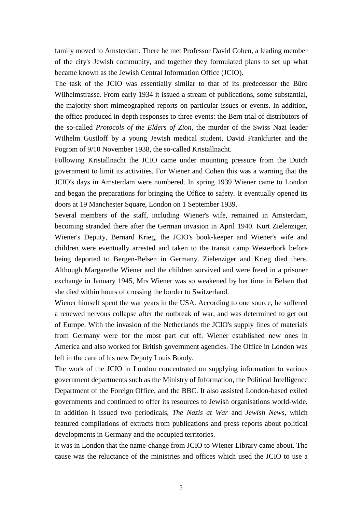family moved to Amsterdam. There he met Professor David Cohen, a leading member of the city's Jewish community, and together they formulated plans to set up what became known as the Jewish Central Information Office (JCIO).

The task of the JCIO was essentially similar to that of its predecessor the Büro Wilhelmstrasse. From early 1934 it issued a stream of publications, some substantial, the majority short mimeographed reports on particular issues or events. In addition, the office produced in-depth responses to three events: the Bern trial of distributors of the so-called *Protocols of the Elders of Zion*, the murder of the Swiss Nazi leader Wilhelm Gustloff by a young Jewish medical student, David Frankfurter and the Pogrom of 9/10 November 1938, the so-called Kristallnacht.

Following Kristallnacht the JCIO came under mounting pressure from the Dutch government to limit its activities. For Wiener and Cohen this was a warning that the JCIO's days in Amsterdam were numbered. In spring 1939 Wiener came to London and began the preparations for bringing the Office to safety. It eventually opened its doors at 19 Manchester Square, London on 1 September 1939.

Several members of the staff, including Wiener's wife, remained in Amsterdam, becoming stranded there after the German invasion in April 1940. Kurt Zielenziger, Wiener's Deputy, Bernard Krieg, the JCIO's book-keeper and Wiener's wife and children were eventually arrested and taken to the transit camp Westerbork before being deported to Bergen-Belsen in Germany. Zielenziger and Krieg died there. Although Margarethe Wiener and the children survived and were freed in a prisoner exchange in January 1945, Mrs Wiener was so weakened by her time in Belsen that she died within hours of crossing the border to Switzerland.

Wiener himself spent the war years in the USA. According to one source, he suffered a renewed nervous collapse after the outbreak of war, and was determined to get out of Europe. With the invasion of the Netherlands the JCIO's supply lines of materials from Germany were for the most part cut off. Wiener established new ones in America and also worked for British government agencies. The Office in London was left in the care of his new Deputy Louis Bondy.

The work of the JCIO in London concentrated on supplying information to various government departments such as the Ministry of Information, the Political Intelligence Department of the Foreign Office, and the BBC. It also assisted London-based exiled governments and continued to offer its resources to Jewish organisations world-wide. In addition it issued two periodicals, *The Nazis at War* and *Jewish News,* which featured compilations of extracts from publications and press reports about political developments in Germany and the occupied territories.

It was in London that the name-change from JCIO to Wiener Library came about. The cause was the reluctance of the ministries and offices which used the JCIO to use a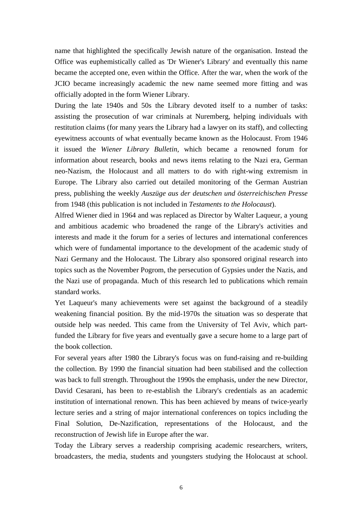name that highlighted the specifically Jewish nature of the organisation. Instead the Office was euphemistically called as 'Dr Wiener's Library' and eventually this name became the accepted one, even within the Office. After the war, when the work of the JCIO became increasingly academic the new name seemed more fitting and was officially adopted in the form Wiener Library.

During the late 1940s and 50s the Library devoted itself to a number of tasks: assisting the prosecution of war criminals at Nuremberg, helping individuals with restitution claims (for many years the Library had a lawyer on its staff), and collecting eyewitness accounts of what eventually became known as the Holocaust. From 1946 it issued the *Wiener Library Bulletin,* which became a renowned forum for information about research, books and news items relating to the Nazi era, German neo-Nazism, the Holocaust and all matters to do with right-wing extremism in Europe. The Library also carried out detailed monitoring of the German Austrian press, publishing the weekly *Auszüge aus der deutschen und österreichischen Presse* from 1948 (this publication is not included in *Testaments to the Holocaust*).

Alfred Wiener died in 1964 and was replaced as Director by Walter Laqueur, a young and ambitious academic who broadened the range of the Library's activities and interests and made it the forum for a series of lectures and international conferences which were of fundamental importance to the development of the academic study of Nazi Germany and the Holocaust. The Library also sponsored original research into topics such as the November Pogrom, the persecution of Gypsies under the Nazis, and the Nazi use of propaganda. Much of this research led to publications which remain standard works.

Yet Laqueur's many achievements were set against the background of a steadily weakening financial position. By the mid-1970s the situation was so desperate that outside help was needed. This came from the University of Tel Aviv, which partfunded the Library for five years and eventually gave a secure home to a large part of the book collection.

For several years after 1980 the Library's focus was on fund-raising and re-building the collection. By 1990 the financial situation had been stabilised and the collection was back to full strength. Throughout the 1990s the emphasis, under the new Director, David Cesarani, has been to re-establish the Library's credentials as an academic institution of international renown. This has been achieved by means of twice-yearly lecture series and a string of major international conferences on topics including the Final Solution, De-Nazification, representations of the Holocaust, and the reconstruction of Jewish life in Europe after the war.

Today the Library serves a readership comprising academic researchers, writers, broadcasters, the media, students and youngsters studying the Holocaust at school.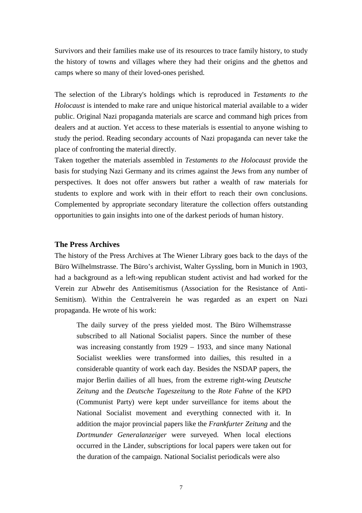Survivors and their families make use of its resources to trace family history, to study the history of towns and villages where they had their origins and the ghettos and camps where so many of their loved-ones perished.

The selection of the Library's holdings which is reproduced in *Testaments to the Holocaust* is intended to make rare and unique historical material available to a wider public. Original Nazi propaganda materials are scarce and command high prices from dealers and at auction. Yet access to these materials is essential to anyone wishing to study the period. Reading secondary accounts of Nazi propaganda can never take the place of confronting the material directly.

Taken together the materials assembled in *Testaments to the Holocaust* provide the basis for studying Nazi Germany and its crimes against the Jews from any number of perspectives. It does not offer answers but rather a wealth of raw materials for students to explore and work with in their effort to reach their own conclusions. Complemented by appropriate secondary literature the collection offers outstanding opportunities to gain insights into one of the darkest periods of human history.

#### **The Press Archives**

The history of the Press Archives at The Wiener Library goes back to the days of the Büro Wilhelmstrasse. The Büro's archivist, Walter Gyssling, born in Munich in 1903, had a background as a left-wing republican student activist and had worked for the Verein zur Abwehr des Antisemitismus (Association for the Resistance of Anti-Semitism). Within the Centralverein he was regarded as an expert on Nazi propaganda. He wrote of his work:

The daily survey of the press yielded most. The Büro Wilhemstrasse subscribed to all National Socialist papers. Since the number of these was increasing constantly from 1929 – 1933, and since many National Socialist weeklies were transformed into dailies, this resulted in a considerable quantity of work each day. Besides the NSDAP papers, the major Berlin dailies of all hues, from the extreme right-wing *Deutsche Zeitung* and the *Deutsche Tageszeitung* to the *Rote Fahne* of the KPD (Communist Party) were kept under surveillance for items about the National Socialist movement and everything connected with it. In addition the major provincial papers like the *Frankfurter Zeitung* and the *Dortmunder Generalanzeiger* were surveyed. When local elections occurred in the Länder, subscriptions for local papers were taken out for the duration of the campaign. National Socialist periodicals were also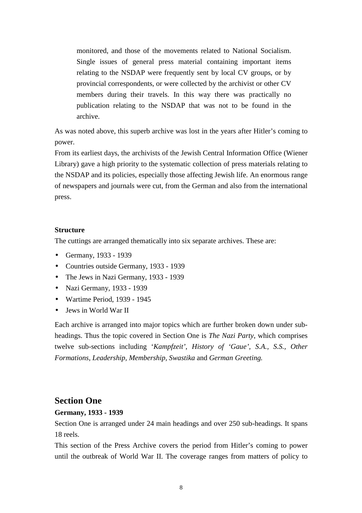monitored, and those of the movements related to National Socialism. Single issues of general press material containing important items relating to the NSDAP were frequently sent by local CV groups, or by provincial correspondents, or were collected by the archivist or other CV members during their travels. In this way there was practically no publication relating to the NSDAP that was not to be found in the archive.

As was noted above, this superb archive was lost in the years after Hitler's coming to power.

From its earliest days, the archivists of the Jewish Central Information Office (Wiener Library) gave a high priority to the systematic collection of press materials relating to the NSDAP and its policies, especially those affecting Jewish life. An enormous range of newspapers and journals were cut, from the German and also from the international press.

#### **Structure**

The cuttings are arranged thematically into six separate archives. These are:

- Germany, 1933 1939
- Countries outside Germany, 1933 1939
- The Jews in Nazi Germany, 1933 1939
- Nazi Germany, 1933 1939
- Wartime Period, 1939 1945
- Jews in World War II

Each archive is arranged into major topics which are further broken down under subheadings. Thus the topic covered in Section One is *The Nazi Party*, which comprises twelve sub-sections including '*Kampfzeit'*, *History of 'Gaue', S.A., S.S., Other Formations, Leadership, Membership, Swastika* and *German Greeting.*

#### **Section One**

#### **Germany, 1933 - 1939**

Section One is arranged under 24 main headings and over 250 sub-headings. It spans 18 reels.

This section of the Press Archive covers the period from Hitler's coming to power until the outbreak of World War II. The coverage ranges from matters of policy to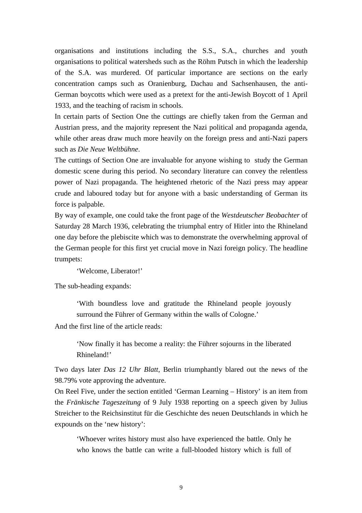organisations and institutions including the S.S., S.A., churches and youth organisations to political watersheds such as the Röhm Putsch in which the leadership of the S.A. was murdered. Of particular importance are sections on the early concentration camps such as Oranienburg, Dachau and Sachsenhausen, the anti-German boycotts which were used as a pretext for the anti-Jewish Boycott of 1 April 1933, and the teaching of racism in schools.

In certain parts of Section One the cuttings are chiefly taken from the German and Austrian press, and the majority represent the Nazi political and propaganda agenda, while other areas draw much more heavily on the foreign press and anti-Nazi papers such as *Die Neue Weltbühne*.

The cuttings of Section One are invaluable for anyone wishing to study the German domestic scene during this period. No secondary literature can convey the relentless power of Nazi propaganda. The heightened rhetoric of the Nazi press may appear crude and laboured today but for anyone with a basic understanding of German its force is palpable.

By way of example, one could take the front page of the *Westdeutscher Beobachter* of Saturday 28 March 1936, celebrating the triumphal entry of Hitler into the Rhineland one day before the plebiscite which was to demonstrate the overwhelming approval of the German people for this first yet crucial move in Nazi foreign policy. The headline trumpets:

'Welcome, Liberator!'

The sub-heading expands:

'With boundless love and gratitude the Rhineland people joyously surround the Führer of Germany within the walls of Cologne.'

And the first line of the article reads:

'Now finally it has become a reality: the Führer sojourns in the liberated Rhineland!'

Two days later *Das 12 Uhr Blatt*, Berlin triumphantly blared out the news of the 98.79% vote approving the adventure.

On Reel Five, under the section entitled 'German Learning – History' is an item from the *Fränkische Tageszeitung* of 9 July 1938 reporting on a speech given by Julius Streicher to the Reichsinstitut für die Geschichte des neuen Deutschlands in which he expounds on the 'new history':

'Whoever writes history must also have experienced the battle. Only he who knows the battle can write a full-blooded history which is full of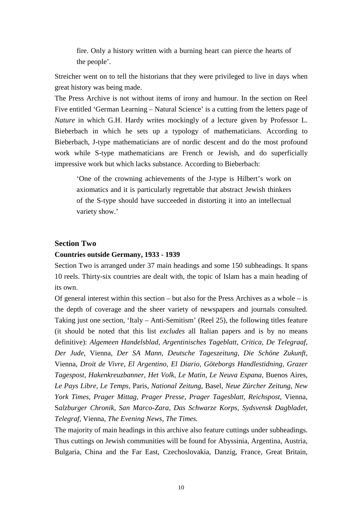fire. Only a history written with a burning heart can pierce the hearts of the people'.

Streicher went on to tell the historians that they were privileged to live in days when great history was being made.

The Press Archive is not without items of irony and humour. In the section on Reel Five entitled 'German Learning – Natural Science' is a cutting from the letters page of *Nature* in which G.H. Hardy writes mockingly of a lecture given by Professor L. Bieberbach in which he sets up a typology of mathematicians. According to Bieberbach, J-type mathematicians are of nordic descent and do the most profound work while S-type mathematicians are French or Jewish, and do superficially impressive work but which lacks substance. According to Bieberbach:

'One of the crowning achievements of the J-type is Hilbert's work on axiomatics and it is particularly regrettable that abstract Jewish thinkers of the S-type should have succeeded in distorting it into an intellectual variety show.'

#### **Section Two**

#### **Countries outside Germany, 1933 - 1939**

Section Two is arranged under 37 main headings and some 150 subheadings. It spans 10 reels. Thirty-six countries are dealt with, the topic of Islam has a main heading of its own.

Of general interest within this section – but also for the Press Archives as a whole – is the depth of coverage and the sheer variety of newspapers and journals consulted. Taking just one section, 'Italy – Anti-Semitism' (Reel 25), the following titles feature (it should be noted that this list *excludes* all Italian papers and is by no means definitive): *Algemeen Handelsblad, Argentinisches Tageblatt, Critica, De Telegraaf, Der Jude*, Vienna, *Der SA Mann, Deutsche Tageszeitung, Die Schöne Zukunft,* Vienna, *Droit de Vivre, El Argentino, El Diario, Göteborgs Handlestidning, Grazer Tagespost, Hakenkreuzbanner, Het Volk, Le Matin, Le Neuva Espana,* Buenos Aires, *Le Pays Libre, Le Temps,* Paris, *National Zeitung*, Basel, *Neue Zürcher Zeitung, New York Times, Prager Mittag, Prager Presse, Prager Tagesblatt, Reichspost*, Vienna, S*alzburger Chronik, San Marco-Zara, Das Schwarze Korps, Sydsvensk Dagbladet, Telegraf,* Vienna, *The Evening News, The Times.*

The majority of main headings in this archive also feature cuttings under subheadings. Thus cuttings on Jewish communities will be found for Abyssinia, Argentina, Austria, Bulgaria, China and the Far East, Czechoslovakia, Danzig, France, Great Britain,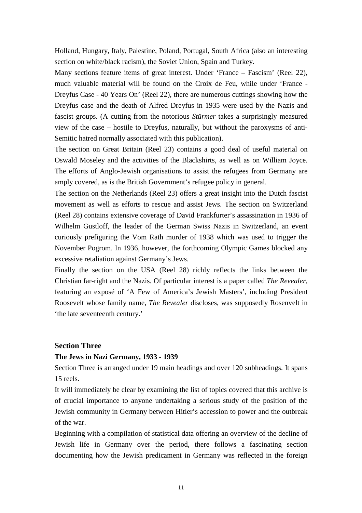Holland, Hungary, Italy, Palestine, Poland, Portugal, South Africa (also an interesting section on white/black racism), the Soviet Union, Spain and Turkey.

Many sections feature items of great interest. Under 'France – Fascism' (Reel 22), much valuable material will be found on the Croix de Feu, while under 'France - Dreyfus Case - 40 Years On' (Reel 22), there are numerous cuttings showing how the Dreyfus case and the death of Alfred Dreyfus in 1935 were used by the Nazis and fascist groups. (A cutting from the notorious *Stürmer* takes a surprisingly measured view of the case – hostile to Dreyfus, naturally, but without the paroxysms of anti-Semitic hatred normally associated with this publication).

The section on Great Britain (Reel 23) contains a good deal of useful material on Oswald Moseley and the activities of the Blackshirts, as well as on William Joyce. The efforts of Anglo-Jewish organisations to assist the refugees from Germany are amply covered, as is the British Government's refugee policy in general.

The section on the Netherlands (Reel 23) offers a great insight into the Dutch fascist movement as well as efforts to rescue and assist Jews. The section on Switzerland (Reel 28) contains extensive coverage of David Frankfurter's assassination in 1936 of Wilhelm Gustloff, the leader of the German Swiss Nazis in Switzerland, an event curiously prefiguring the Vom Rath murder of 1938 which was used to trigger the November Pogrom. In 1936, however, the forthcoming Olympic Games blocked any excessive retaliation against Germany's Jews.

Finally the section on the USA (Reel 28) richly reflects the links between the Christian far-right and the Nazis. Of particular interest is a paper called *The Revealer*, featuring an exposé of 'A Few of America's Jewish Masters', including President Roosevelt whose family name, *The Revealer* discloses, was supposedly Rosenvelt in 'the late seventeenth century.'

#### **Section Three**

#### **The Jews in Nazi Germany, 1933 - 1939**

Section Three is arranged under 19 main headings and over 120 subheadings. It spans 15 reels.

It will immediately be clear by examining the list of topics covered that this archive is of crucial importance to anyone undertaking a serious study of the position of the Jewish community in Germany between Hitler's accession to power and the outbreak of the war.

Beginning with a compilation of statistical data offering an overview of the decline of Jewish life in Germany over the period, there follows a fascinating section documenting how the Jewish predicament in Germany was reflected in the foreign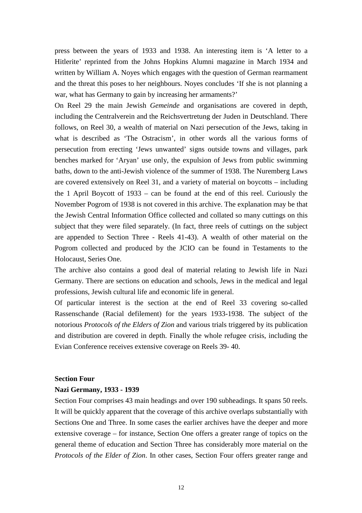press between the years of 1933 and 1938. An interesting item is 'A letter to a Hitlerite' reprinted from the Johns Hopkins Alumni magazine in March 1934 and written by William A. Noyes which engages with the question of German rearmament and the threat this poses to her neighbours. Noyes concludes 'If she is not planning a war, what has Germany to gain by increasing her armaments?'

On Reel 29 the main Jewish *Gemeinde* and organisations are covered in depth, including the Centralverein and the Reichsvertretung der Juden in Deutschland. There follows, on Reel 30, a wealth of material on Nazi persecution of the Jews, taking in what is described as 'The Ostracism', in other words all the various forms of persecution from erecting 'Jews unwanted' signs outside towns and villages, park benches marked for 'Aryan' use only, the expulsion of Jews from public swimming baths, down to the anti-Jewish violence of the summer of 1938. The Nuremberg Laws are covered extensively on Reel 31, and a variety of material on boycotts – including the 1 April Boycott of 1933 – can be found at the end of this reel. Curiously the November Pogrom of 1938 is not covered in this archive. The explanation may be that the Jewish Central Information Office collected and collated so many cuttings on this subject that they were filed separately. (In fact, three reels of cuttings on the subject are appended to Section Three - Reels 41-43). A wealth of other material on the Pogrom collected and produced by the JCIO can be found in Testaments to the Holocaust, Series One.

The archive also contains a good deal of material relating to Jewish life in Nazi Germany. There are sections on education and schools, Jews in the medical and legal professions, Jewish cultural life and economic life in general.

Of particular interest is the section at the end of Reel 33 covering so-called Rassenschande (Racial defilement) for the years 1933-1938. The subject of the notorious *Protocols of the Elders of Zion* and various trials triggered by its publication and distribution are covered in depth. Finally the whole refugee crisis, including the Evian Conference receives extensive coverage on Reels 39- 40.

#### **Section Four**

#### **Nazi Germany, 1933 - 1939**

Section Four comprises 43 main headings and over 190 subheadings. It spans 50 reels. It will be quickly apparent that the coverage of this archive overlaps substantially with Sections One and Three. In some cases the earlier archives have the deeper and more extensive coverage – for instance, Section One offers a greater range of topics on the general theme of education and Section Three has considerably more material on the *Protocols of the Elder of Zion*. In other cases, Section Four offers greater range and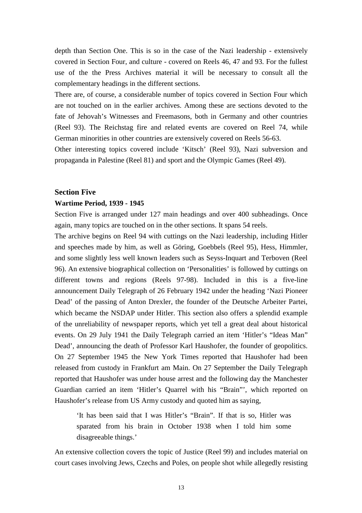depth than Section One. This is so in the case of the Nazi leadership - extensively covered in Section Four, and culture - covered on Reels 46, 47 and 93. For the fullest use of the the Press Archives material it will be necessary to consult all the complementary headings in the different sections.

There are, of course, a considerable number of topics covered in Section Four which are not touched on in the earlier archives. Among these are sections devoted to the fate of Jehovah's Witnesses and Freemasons, both in Germany and other countries (Reel 93). The Reichstag fire and related events are covered on Reel 74, while German minorities in other countries are extensively covered on Reels 56-63.

Other interesting topics covered include 'Kitsch' (Reel 93), Nazi subversion and propaganda in Palestine (Reel 81) and sport and the Olympic Games (Reel 49).

#### **Section Five**

#### **Wartime Period, 1939 - 1945**

Section Five is arranged under 127 main headings and over 400 subheadings. Once again, many topics are touched on in the other sections. It spans 54 reels.

The archive begins on Reel 94 with cuttings on the Nazi leadership, including Hitler and speeches made by him, as well as Göring, Goebbels (Reel 95), Hess, Himmler, and some slightly less well known leaders such as Seyss-Inquart and Terboven (Reel 96). An extensive biographical collection on 'Personalities' is followed by cuttings on different towns and regions (Reels 97-98). Included in this is a five-line announcement Daily Telegraph of 26 February 1942 under the heading 'Nazi Pioneer Dead' of the passing of Anton Drexler, the founder of the Deutsche Arbeiter Partei, which became the NSDAP under Hitler. This section also offers a splendid example of the unreliability of newspaper reports, which yet tell a great deal about historical events. On 29 July 1941 the Daily Telegraph carried an item 'Hitler's "Ideas Man" Dead', announcing the death of Professor Karl Haushofer, the founder of geopolitics. On 27 September 1945 the New York Times reported that Haushofer had been released from custody in Frankfurt am Main. On 27 September the Daily Telegraph reported that Haushofer was under house arrest and the following day the Manchester Guardian carried an item 'Hitler's Quarrel with his "Brain"', which reported on Haushofer's release from US Army custody and quoted him as saying,

'It has been said that I was Hitler's "Brain". If that is so, Hitler was sparated from his brain in October 1938 when I told him some disagreeable things.'

An extensive collection covers the topic of Justice (Reel 99) and includes material on court cases involving Jews, Czechs and Poles, on people shot while allegedly resisting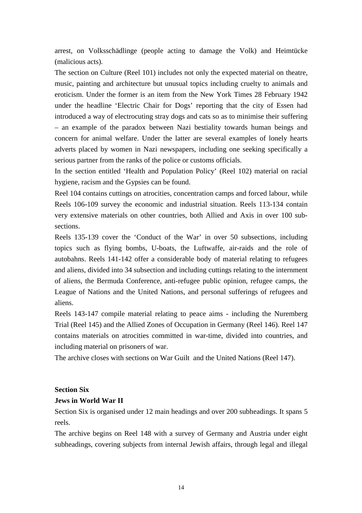arrest, on Volksschädlinge (people acting to damage the Volk) and Heimtücke (malicious acts).

The section on Culture (Reel 101) includes not only the expected material on theatre, music, painting and architecture but unusual topics including cruelty to animals and eroticism. Under the former is an item from the New York Times 28 February 1942 under the headline 'Electric Chair for Dogs' reporting that the city of Essen had introduced a way of electrocuting stray dogs and cats so as to minimise their suffering – an example of the paradox between Nazi bestiality towards human beings and concern for animal welfare. Under the latter are several examples of lonely hearts adverts placed by women in Nazi newspapers, including one seeking specifically a serious partner from the ranks of the police or customs officials.

In the section entitled 'Health and Population Policy' (Reel 102) material on racial hygiene, racism and the Gypsies can be found.

Reel 104 contains cuttings on atrocities, concentration camps and forced labour, while Reels 106-109 survey the economic and industrial situation. Reels 113-134 contain very extensive materials on other countries, both Allied and Axis in over 100 subsections.

Reels 135-139 cover the 'Conduct of the War' in over 50 subsections, including topics such as flying bombs, U-boats, the Luftwaffe, air-raids and the role of autobahns. Reels 141-142 offer a considerable body of material relating to refugees and aliens, divided into 34 subsection and including cuttings relating to the internment of aliens, the Bermuda Conference, anti-refugee public opinion, refugee camps, the League of Nations and the United Nations, and personal sufferings of refugees and aliens.

Reels 143-147 compile material relating to peace aims - including the Nuremberg Trial (Reel 145) and the Allied Zones of Occupation in Germany (Reel 146). Reel 147 contains materials on atrocities committed in war-time, divided into countries, and including material on prisoners of war.

The archive closes with sections on War Guilt and the United Nations (Reel 147).

#### **Section Six**

#### **Jews in World War II**

Section Six is organised under 12 main headings and over 200 subheadings. It spans 5 reels.

The archive begins on Reel 148 with a survey of Germany and Austria under eight subheadings, covering subjects from internal Jewish affairs, through legal and illegal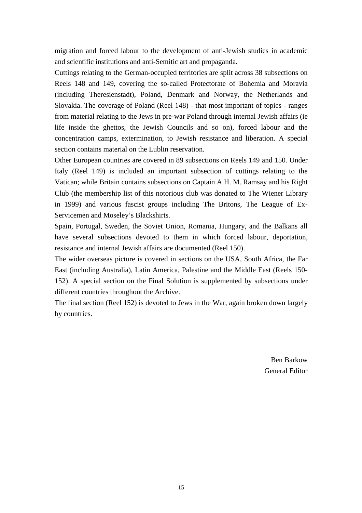migration and forced labour to the development of anti-Jewish studies in academic and scientific institutions and anti-Semitic art and propaganda.

Cuttings relating to the German-occupied territories are split across 38 subsections on Reels 148 and 149, covering the so-called Protectorate of Bohemia and Moravia (including Theresienstadt), Poland, Denmark and Norway, the Netherlands and Slovakia. The coverage of Poland (Reel 148) - that most important of topics - ranges from material relating to the Jews in pre-war Poland through internal Jewish affairs (ie life inside the ghettos, the Jewish Councils and so on), forced labour and the concentration camps, extermination, to Jewish resistance and liberation. A special section contains material on the Lublin reservation.

Other European countries are covered in 89 subsections on Reels 149 and 150. Under Italy (Reel 149) is included an important subsection of cuttings relating to the Vatican; while Britain contains subsections on Captain A.H. M. Ramsay and his Right Club (the membership list of this notorious club was donated to The Wiener Library in 1999) and various fascist groups including The Britons, The League of Ex-Servicemen and Moseley's Blackshirts.

Spain, Portugal, Sweden, the Soviet Union, Romania, Hungary, and the Balkans all have several subsections devoted to them in which forced labour, deportation, resistance and internal Jewish affairs are documented (Reel 150).

The wider overseas picture is covered in sections on the USA, South Africa, the Far East (including Australia), Latin America, Palestine and the Middle East (Reels 150- 152). A special section on the Final Solution is supplemented by subsections under different countries throughout the Archive.

The final section (Reel 152) is devoted to Jews in the War, again broken down largely by countries.

> Ben Barkow General Editor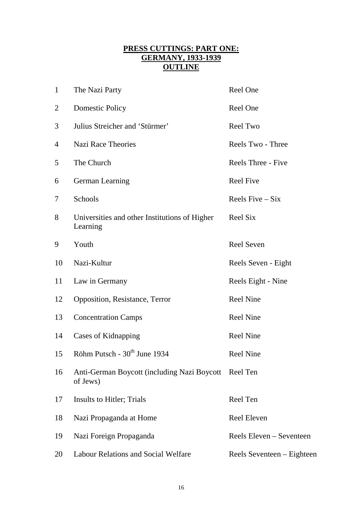# **PRESS CUTTINGS: PART ONE: GERMANY, 1933-1939 OUTLINE**

| $\mathbf{1}$   | The Nazi Party                                                   | Reel One                   |
|----------------|------------------------------------------------------------------|----------------------------|
| $\overline{2}$ | <b>Domestic Policy</b>                                           | Reel One                   |
| 3              | Julius Streicher and 'Stürmer'                                   | Reel Two                   |
| 4              | <b>Nazi Race Theories</b>                                        | Reels Two - Three          |
| 5              | The Church                                                       | Reels Three - Five         |
| 6              | German Learning                                                  | <b>Reel Five</b>           |
| 7              | Schools                                                          | Reels $Five-Six$           |
| 8              | Universities and other Institutions of Higher<br>Learning        | Reel Six                   |
| 9              | Youth                                                            | <b>Reel Seven</b>          |
| 10             | Nazi-Kultur                                                      | Reels Seven - Eight        |
| 11             | Law in Germany                                                   | Reels Eight - Nine         |
| 12             | Opposition, Resistance, Terror                                   | <b>Reel Nine</b>           |
| 13             | <b>Concentration Camps</b>                                       | <b>Reel Nine</b>           |
| 14             | Cases of Kidnapping                                              | <b>Reel Nine</b>           |
| 15             | Röhm Putsch - 30 <sup>th</sup> June 1934                         | <b>Reel Nine</b>           |
| 16             | Anti-German Boycott (including Nazi Boycott Reel Ten<br>of Jews) |                            |
| 17             | Insults to Hitler; Trials                                        | Reel Ten                   |
| 18             | Nazi Propaganda at Home                                          | <b>Reel Eleven</b>         |
| 19             | Nazi Foreign Propaganda                                          | Reels Eleven – Seventeen   |
| 20             | Labour Relations and Social Welfare                              | Reels Seventeen – Eighteen |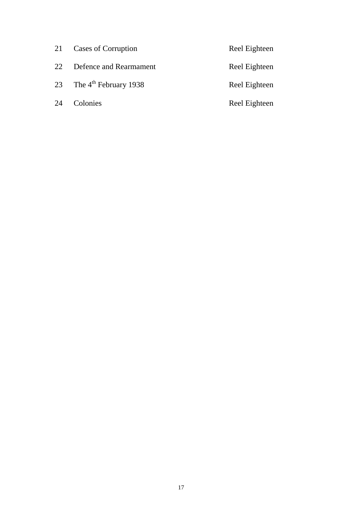| 21 | Cases of Corruption        | Reel Eighteen |
|----|----------------------------|---------------|
| 22 | Defence and Rearmament     | Reel Eighteen |
|    | 23 The $4th$ February 1938 | Reel Eighteen |
| 24 | Colonies                   | Reel Eighteen |
|    |                            |               |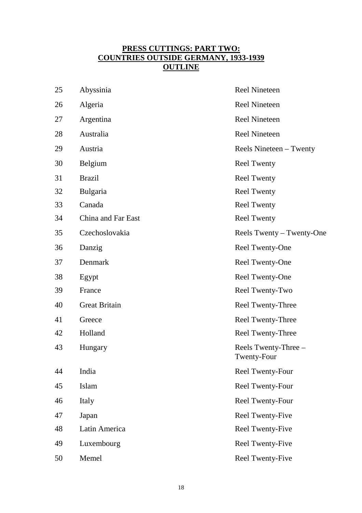# **PRESS CUTTINGS: PART TWO: COUNTRIES OUTSIDE GERMANY, 1933-1939 OUTLINE**

| 25 | Abyssinia            | <b>Reel Nineteen</b>                |
|----|----------------------|-------------------------------------|
| 26 | Algeria              | <b>Reel Nineteen</b>                |
| 27 | Argentina            | <b>Reel Nineteen</b>                |
| 28 | Australia            | <b>Reel Nineteen</b>                |
| 29 | Austria              | Reels Nineteen – Twenty             |
| 30 | Belgium              | <b>Reel Twenty</b>                  |
| 31 | <b>Brazil</b>        | <b>Reel Twenty</b>                  |
| 32 | <b>Bulgaria</b>      | <b>Reel Twenty</b>                  |
| 33 | Canada               | <b>Reel Twenty</b>                  |
| 34 | China and Far East   | <b>Reel Twenty</b>                  |
| 35 | Czechoslovakia       | Reels Twenty - Twenty-One           |
| 36 | Danzig               | Reel Twenty-One                     |
| 37 | Denmark              | Reel Twenty-One                     |
| 38 | Egypt                | Reel Twenty-One                     |
| 39 | France               | Reel Twenty-Two                     |
| 40 | <b>Great Britain</b> | Reel Twenty-Three                   |
| 41 | Greece               | Reel Twenty-Three                   |
| 42 | Holland              | Reel Twenty-Three                   |
| 43 | Hungary              | Reels Twenty-Three -<br>Twenty-Four |
| 44 | India                | Reel Twenty-Four                    |
| 45 | Islam                | <b>Reel Twenty-Four</b>             |
| 46 | Italy                | <b>Reel Twenty-Four</b>             |
| 47 | Japan                | Reel Twenty-Five                    |
| 48 | Latin America        | Reel Twenty-Five                    |
| 49 | Luxembourg           | Reel Twenty-Five                    |
| 50 | Memel                | Reel Twenty-Five                    |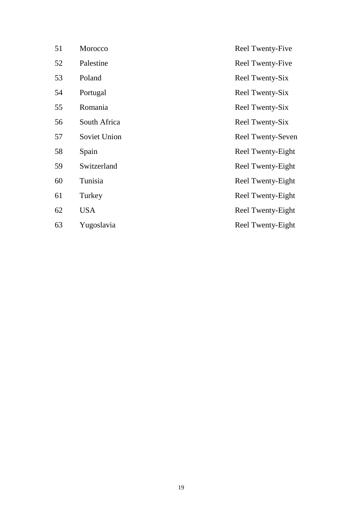| 51 | Morocco      | Reel Twenty-Five         |
|----|--------------|--------------------------|
| 52 | Palestine    | <b>Reel Twenty-Five</b>  |
| 53 | Poland       | Reel Twenty-Six          |
| 54 | Portugal     | Reel Twenty-Six          |
| 55 | Romania      | Reel Twenty-Six          |
| 56 | South Africa | Reel Twenty-Six          |
| 57 | Soviet Union | <b>Reel Twenty-Seven</b> |
| 58 | Spain        | Reel Twenty-Eight        |
| 59 | Switzerland  | Reel Twenty-Eight        |
| 60 | Tunisia      | Reel Twenty-Eight        |
| 61 | Turkey       | Reel Twenty-Eight        |
| 62 | <b>USA</b>   | Reel Twenty-Eight        |
| 63 | Yugoslavia   | Reel Twenty-Eight        |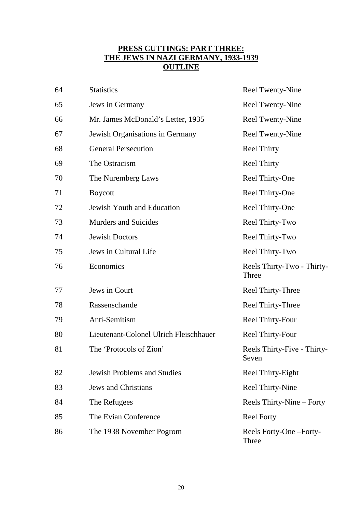# **PRESS CUTTINGS: PART THREE: THE JEWS IN NAZI GERMANY, 1933-1939 OUTLINE**

| 64 | <b>Statistics</b>                      | Reel Twenty-Nine                     |
|----|----------------------------------------|--------------------------------------|
| 65 | Jews in Germany                        | <b>Reel Twenty-Nine</b>              |
| 66 | Mr. James McDonald's Letter, 1935      | <b>Reel Twenty-Nine</b>              |
| 67 | Jewish Organisations in Germany        | <b>Reel Twenty-Nine</b>              |
| 68 | <b>General Persecution</b>             | <b>Reel Thirty</b>                   |
| 69 | The Ostracism                          | <b>Reel Thirty</b>                   |
| 70 | The Nuremberg Laws                     | Reel Thirty-One                      |
| 71 | <b>Boycott</b>                         | Reel Thirty-One                      |
| 72 | Jewish Youth and Education             | Reel Thirty-One                      |
| 73 | <b>Murders and Suicides</b>            | Reel Thirty-Two                      |
| 74 | <b>Jewish Doctors</b>                  | Reel Thirty-Two                      |
| 75 | Jews in Cultural Life                  | Reel Thirty-Two                      |
| 76 | Economics                              | Reels Thirty-Two - Thirty-<br>Three  |
| 77 | Jews in Court                          | Reel Thirty-Three                    |
| 78 | Rassenschande                          | Reel Thirty-Three                    |
| 79 | Anti-Semitism                          | Reel Thirty-Four                     |
| 80 | Lieutenant-Colonel Ulrich Fleischhauer | Reel Thirty-Four                     |
| 81 | The 'Protocols of Zion'                | Reels Thirty-Five - Thirty-<br>Seven |
| 82 | <b>Jewish Problems and Studies</b>     | Reel Thirty-Eight                    |
| 83 | <b>Jews and Christians</b>             | Reel Thirty-Nine                     |
| 84 | The Refugees                           | Reels Thirty-Nine – Forty            |
| 85 | The Evian Conference                   | <b>Reel Forty</b>                    |
| 86 | The 1938 November Pogrom               | Reels Forty-One-Forty-<br>Three      |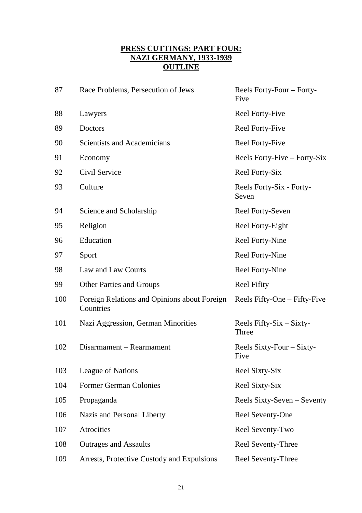# **PRESS CUTTINGS: PART FOUR: NAZI GERMANY, 1933-1939 OUTLINE**

| 87  | Race Problems, Persecution of Jews                        | Reels Forty-Four – Forty-<br>Five     |
|-----|-----------------------------------------------------------|---------------------------------------|
| 88  | Lawyers                                                   | <b>Reel Forty-Five</b>                |
| 89  | Doctors                                                   | <b>Reel Forty-Five</b>                |
| 90  | <b>Scientists and Academicians</b>                        | <b>Reel Forty-Five</b>                |
| 91  | Economy                                                   | Reels Forty-Five – Forty-Six          |
| 92  | Civil Service                                             | Reel Forty-Six                        |
| 93  | Culture                                                   | Reels Forty-Six - Forty-<br>Seven     |
| 94  | Science and Scholarship                                   | Reel Forty-Seven                      |
| 95  | Religion                                                  | Reel Forty-Eight                      |
| 96  | Education                                                 | Reel Forty-Nine                       |
| 97  | Sport                                                     | Reel Forty-Nine                       |
| 98  | Law and Law Courts                                        | Reel Forty-Nine                       |
| 99  | <b>Other Parties and Groups</b>                           | <b>Reel Fifity</b>                    |
| 100 | Foreign Relations and Opinions about Foreign<br>Countries | Reels Fifty-One – Fifty-Five          |
| 101 | Nazi Aggression, German Minorities                        | Reels Fifty- $Six - Sixty$ -<br>Three |
| 102 | Disarmament – Rearmament                                  | Reels Sixty-Four – Sixty-<br>Five     |
| 103 | League of Nations                                         | Reel Sixty-Six                        |
| 104 | <b>Former German Colonies</b>                             | Reel Sixty-Six                        |
| 105 | Propaganda                                                | Reels Sixty-Seven – Seventy           |
| 106 | Nazis and Personal Liberty                                | Reel Seventy-One                      |
| 107 | Atrocities                                                | Reel Seventy-Two                      |
| 108 | <b>Outrages and Assaults</b>                              | Reel Seventy-Three                    |
| 109 | Arrests, Protective Custody and Expulsions                | Reel Seventy-Three                    |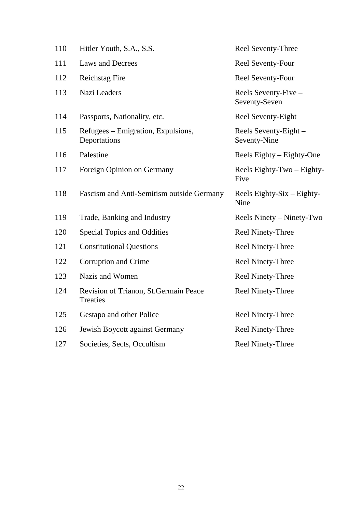| 110 | Hitler Youth, S.A., S.S.                                  | Reel Seventy-Three                    |
|-----|-----------------------------------------------------------|---------------------------------------|
| 111 | <b>Laws and Decrees</b>                                   | Reel Seventy-Four                     |
| 112 | <b>Reichstag Fire</b>                                     | Reel Seventy-Four                     |
| 113 | Nazi Leaders                                              | Reels Seventy-Five –<br>Seventy-Seven |
| 114 | Passports, Nationality, etc.                              | Reel Seventy-Eight                    |
| 115 | Refugees – Emigration, Expulsions,<br>Deportations        | Reels Seventy-Eight –<br>Seventy-Nine |
| 116 | Palestine                                                 | Reels Eighty - Eighty-One             |
| 117 | Foreign Opinion on Germany                                | Reels Eighty-Two - Eighty-<br>Five    |
| 118 | Fascism and Anti-Semitism outside Germany                 | Reels Eighty-Six $-$ Eighty-<br>Nine  |
| 119 | Trade, Banking and Industry                               | Reels Ninety – Ninety-Two             |
| 120 | <b>Special Topics and Oddities</b>                        | <b>Reel Ninety-Three</b>              |
| 121 | <b>Constitutional Questions</b>                           | <b>Reel Ninety-Three</b>              |
| 122 | Corruption and Crime                                      | <b>Reel Ninety-Three</b>              |
| 123 | Nazis and Women                                           | <b>Reel Ninety-Three</b>              |
| 124 | Revision of Trianon, St. Germain Peace<br><b>Treaties</b> | <b>Reel Ninety-Three</b>              |
| 125 | Gestapo and other Police                                  | Reel Ninety-Three                     |
| 126 | Jewish Boycott against Germany                            | <b>Reel Ninety-Three</b>              |
| 127 | Societies, Sects, Occultism                               | <b>Reel Ninety-Three</b>              |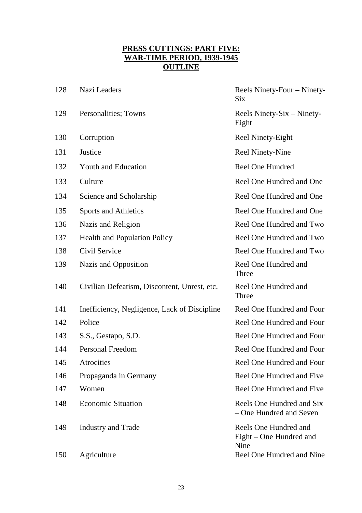# **PRESS CUTTINGS: PART FIVE: WAR-TIME PERIOD, 1939-1945 OUTLINE**

| 128 | Nazi Leaders                                 | Reels Ninety-Four – Ninety-<br><b>Six</b>                |
|-----|----------------------------------------------|----------------------------------------------------------|
| 129 | Personalities; Towns                         | Reels Ninety-Six – Ninety-<br>Eight                      |
| 130 | Corruption                                   | Reel Ninety-Eight                                        |
| 131 | Justice                                      | <b>Reel Ninety-Nine</b>                                  |
| 132 | <b>Youth and Education</b>                   | <b>Reel One Hundred</b>                                  |
| 133 | Culture                                      | Reel One Hundred and One                                 |
| 134 | Science and Scholarship                      | Reel One Hundred and One                                 |
| 135 | Sports and Athletics                         | Reel One Hundred and One                                 |
| 136 | Nazis and Religion                           | Reel One Hundred and Two                                 |
| 137 | <b>Health and Population Policy</b>          | Reel One Hundred and Two                                 |
| 138 | Civil Service                                | Reel One Hundred and Two                                 |
| 139 | Nazis and Opposition                         | Reel One Hundred and<br>Three                            |
| 140 | Civilian Defeatism, Discontent, Unrest, etc. | Reel One Hundred and<br>Three                            |
| 141 | Inefficiency, Negligence, Lack of Discipline | Reel One Hundred and Four                                |
| 142 | Police                                       | Reel One Hundred and Four                                |
| 143 | S.S., Gestapo, S.D.                          | Reel One Hundred and Four                                |
| 144 | <b>Personal Freedom</b>                      | Reel One Hundred and Four                                |
| 145 | Atrocities                                   | Reel One Hundred and Four                                |
| 146 | Propaganda in Germany                        | Reel One Hundred and Five                                |
| 147 | Women                                        | Reel One Hundred and Five                                |
| 148 | <b>Economic Situation</b>                    | Reels One Hundred and Six<br>- One Hundred and Seven     |
| 149 | <b>Industry and Trade</b>                    | Reels One Hundred and<br>Eight – One Hundred and<br>Nine |
| 150 | Agriculture                                  | Reel One Hundred and Nine                                |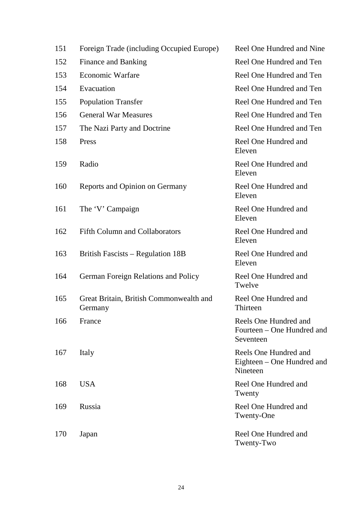| 151 | Foreign Trade (including Occupied Europe)          | Reel One Hundred and Nine                                        |
|-----|----------------------------------------------------|------------------------------------------------------------------|
| 152 | <b>Finance and Banking</b>                         | Reel One Hundred and Ten                                         |
| 153 | <b>Economic Warfare</b>                            | Reel One Hundred and Ten                                         |
| 154 | Evacuation                                         | Reel One Hundred and Ten                                         |
| 155 | <b>Population Transfer</b>                         | Reel One Hundred and Ten                                         |
| 156 | <b>General War Measures</b>                        | Reel One Hundred and Ten                                         |
| 157 | The Nazi Party and Doctrine                        | Reel One Hundred and Ten                                         |
| 158 | Press                                              | Reel One Hundred and<br>Eleven                                   |
| 159 | Radio                                              | Reel One Hundred and<br>Eleven                                   |
| 160 | Reports and Opinion on Germany                     | Reel One Hundred and<br>Eleven                                   |
| 161 | The 'V' Campaign                                   | Reel One Hundred and<br>Eleven                                   |
| 162 | <b>Fifth Column and Collaborators</b>              | Reel One Hundred and<br>Eleven                                   |
| 163 | <b>British Fascists - Regulation 18B</b>           | Reel One Hundred and<br>Eleven                                   |
| 164 | German Foreign Relations and Policy                | Reel One Hundred and<br>Twelve                                   |
| 165 | Great Britain, British Commonwealth and<br>Germany | Reel One Hundred and<br>Thirteen                                 |
| 166 | France                                             | Reels One Hundred and<br>Fourteen – One Hundred and<br>Seventeen |
| 167 | Italy                                              | Reels One Hundred and<br>Eighteen – One Hundred and<br>Nineteen  |
| 168 | <b>USA</b>                                         | Reel One Hundred and<br>Twenty                                   |
| 169 | Russia                                             | Reel One Hundred and<br>Twenty-One                               |
| 170 | Japan                                              | Reel One Hundred and<br>Twenty-Two                               |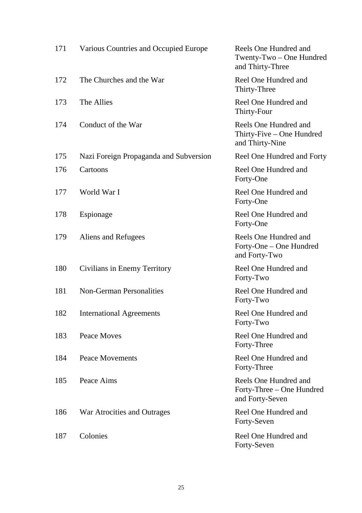| 171 | Various Countries and Occupied Europe  | Reels One Hundred and<br>Twenty-Two - One Hundred<br>and Thirty-Three |
|-----|----------------------------------------|-----------------------------------------------------------------------|
| 172 | The Churches and the War               | Reel One Hundred and<br>Thirty-Three                                  |
| 173 | The Allies                             | Reel One Hundred and<br>Thirty-Four                                   |
| 174 | Conduct of the War                     | Reels One Hundred and<br>Thirty-Five - One Hundred<br>and Thirty-Nine |
| 175 | Nazi Foreign Propaganda and Subversion | Reel One Hundred and Forty                                            |
| 176 | Cartoons                               | Reel One Hundred and<br>Forty-One                                     |
| 177 | World War I                            | Reel One Hundred and<br>Forty-One                                     |
| 178 | Espionage                              | Reel One Hundred and<br>Forty-One                                     |
| 179 | Aliens and Refugees                    | Reels One Hundred and<br>Forty-One - One Hundred<br>and Forty-Two     |
| 180 | Civilians in Enemy Territory           | Reel One Hundred and<br>Forty-Two                                     |
| 181 | <b>Non-German Personalities</b>        | Reel One Hundred and<br>Forty-Two                                     |
| 182 | <b>International Agreements</b>        | Reel One Hundred and<br>Forty-Two                                     |
| 183 | Peace Moves                            | Reel One Hundred and<br>Forty-Three                                   |
| 184 | <b>Peace Movements</b>                 | Reel One Hundred and<br>Forty-Three                                   |
| 185 | Peace Aims                             | Reels One Hundred and<br>Forty-Three - One Hundred<br>and Forty-Seven |
| 186 | War Atrocities and Outrages            | Reel One Hundred and<br>Forty-Seven                                   |
| 187 | Colonies                               | Reel One Hundred and<br>Forty-Seven                                   |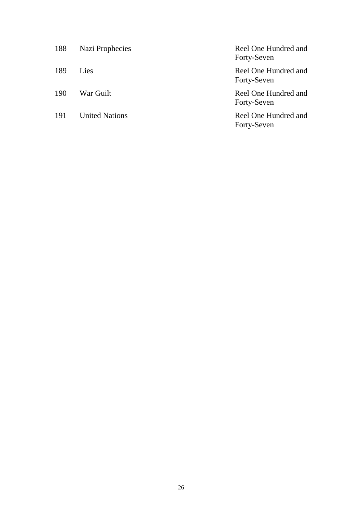| 188 | Nazi Prophecies       | Reel One Hundred and<br>Forty-Seven |
|-----|-----------------------|-------------------------------------|
| 189 | Lies                  | Reel One Hundred and<br>Forty-Seven |
| 190 | War Guilt             | Reel One Hundred and<br>Forty-Seven |
| 191 | <b>United Nations</b> | Reel One Hundred and<br>Forty-Seven |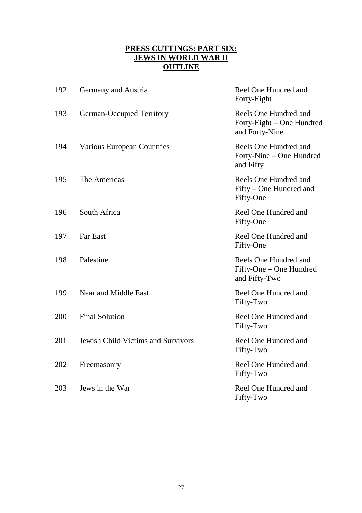# **PRESS CUTTINGS: PART SIX: JEWS IN WORLD WAR II OUTLINE**

| 192 | Germany and Austria                       | Reel One Hundred and<br>Forty-Eight                                  |
|-----|-------------------------------------------|----------------------------------------------------------------------|
| 193 | <b>German-Occupied Territory</b>          | Reels One Hundred and<br>Forty-Eight – One Hundred<br>and Forty-Nine |
| 194 | <b>Various European Countries</b>         | Reels One Hundred and<br>Forty-Nine - One Hundred<br>and Fifty       |
| 195 | The Americas                              | Reels One Hundred and<br>Fifty – One Hundred and<br>Fifty-One        |
| 196 | South Africa                              | Reel One Hundred and<br>Fifty-One                                    |
| 197 | <b>Far East</b>                           | Reel One Hundred and<br>Fifty-One                                    |
| 198 | Palestine                                 | Reels One Hundred and<br>Fifty-One – One Hundred<br>and Fifty-Two    |
| 199 | Near and Middle East                      | Reel One Hundred and<br>Fifty-Two                                    |
| 200 | <b>Final Solution</b>                     | Reel One Hundred and<br>Fifty-Two                                    |
| 201 | <b>Jewish Child Victims and Survivors</b> | Reel One Hundred and<br>Fifty-Two                                    |
| 202 | Freemasonry                               | Reel One Hundred and<br>Fifty-Two                                    |
| 203 | Jews in the War                           | Reel One Hundred and<br>Fifty-Two                                    |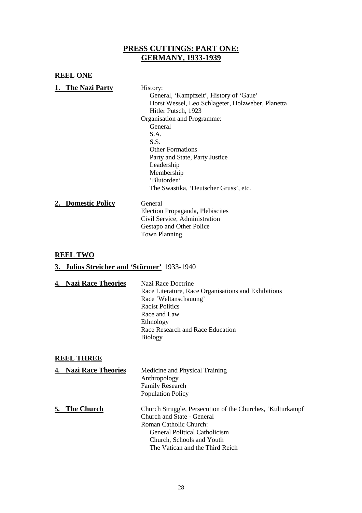### **PRESS CUTTINGS: PART ONE: GERMANY, 1933-1939**

#### **REEL ONE 1. The Nazi Party** History: General, 'Kampfzeit', History of 'Gaue' Horst Wessel, Leo Schlageter, Holzweber, Planetta Hitler Putsch, 1923 Organisation and Programme: **General** S.A. S.S. Other Formations Party and State, Party Justice Leadership Membership 'Blutorden' The Swastika, 'Deutscher Gruss', etc. **2. Domestic Policy** General Election Propaganda, Plebiscites Civil Service, Administration Gestapo and Other Police Town Planning

#### **REEL TWO**

#### **3. Julius Streicher and 'Stürmer'** 1933-1940

| Nazi Race Doctrine                                  |
|-----------------------------------------------------|
| Race Literature, Race Organisations and Exhibitions |
| Race 'Weltanschauung'                               |
| <b>Racist Politics</b>                              |
| Race and Law                                        |
| Ethnology                                           |
| Race Research and Race Education                    |
| <b>Biology</b>                                      |
| 4. Nazi Race Theories                               |

#### **REEL THREE**

|    | <b>Nazi Race Theories</b> | Medicine and Physical Training<br>Anthropology<br><b>Family Research</b><br><b>Population Policy</b>                                                                                                                 |
|----|---------------------------|----------------------------------------------------------------------------------------------------------------------------------------------------------------------------------------------------------------------|
| 5. | <b>The Church</b>         | Church Struggle, Persecution of the Churches, 'Kulturkampf'<br>Church and State - General<br>Roman Catholic Church:<br>General Political Catholicism<br>Church, Schools and Youth<br>The Vatican and the Third Reich |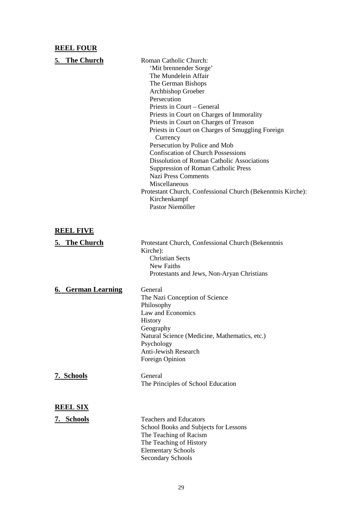### **REEL FOUR**

| 5. The Church             | Roman Catholic Church:<br>'Mit brennender Sorge'<br>The Mundelein Affair<br>The German Bishops<br>Archbishop Groeber<br>Persecution<br>Priests in Court – General<br>Priests in Court on Charges of Immorality<br>Priests in Court on Charges of Treason<br>Priests in Court on Charges of Smuggling Foreign<br>Currency<br>Persecution by Police and Mob<br><b>Confiscation of Church Possessions</b><br><b>Dissolution of Roman Catholic Associations</b><br><b>Suppression of Roman Catholic Press</b><br><b>Nazi Press Comments</b><br>Miscellaneous<br>Protestant Church, Confessional Church (Bekenntnis Kirche):<br>Kirchenkampf<br>Pastor Niemöller |
|---------------------------|-------------------------------------------------------------------------------------------------------------------------------------------------------------------------------------------------------------------------------------------------------------------------------------------------------------------------------------------------------------------------------------------------------------------------------------------------------------------------------------------------------------------------------------------------------------------------------------------------------------------------------------------------------------|
| <b>REEL FIVE</b>          |                                                                                                                                                                                                                                                                                                                                                                                                                                                                                                                                                                                                                                                             |
| 5. The Church             | Protestant Church, Confessional Church (Bekenntnis<br>Kirche):<br><b>Christian Sects</b><br>New Faiths<br>Protestants and Jews, Non-Aryan Christians                                                                                                                                                                                                                                                                                                                                                                                                                                                                                                        |
| <b>6. German Learning</b> | General<br>The Nazi Conception of Science<br>Philosophy<br>Law and Economics<br><b>History</b><br>Geography<br>Natural Science (Medicine, Mathematics, etc.)<br>Psychology<br>Anti-Jewish Research<br>Foreign Opinion                                                                                                                                                                                                                                                                                                                                                                                                                                       |
| 7. Schools                | General<br>The Principles of School Education                                                                                                                                                                                                                                                                                                                                                                                                                                                                                                                                                                                                               |
| <b>REEL SIX</b>           |                                                                                                                                                                                                                                                                                                                                                                                                                                                                                                                                                                                                                                                             |
| 7. Schools                | <b>Teachers and Educators</b><br>School Books and Subjects for Lessons<br>The Teaching of Racism<br>The Teaching of History<br><b>Elementary Schools</b><br><b>Secondary Schools</b>                                                                                                                                                                                                                                                                                                                                                                                                                                                                        |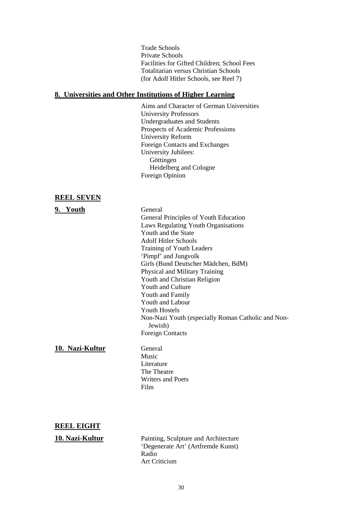Trade Schools Private Schools Facilities for Gifted Children; School Fees Totalitarian versus Christian Schools (for Adolf Hitler Schools, see Reel 7)

#### **8. Universities and Other Institutions of Higher Learning**

Aims and Character of German Universities University Professors Undergraduates and Students Prospects of Academic Professions University Reform Foreign Contacts and Exchanges University Jubilees: Göttingen Heidelberg and Cologne Foreign Opinion

#### **REEL SEVEN**

#### **9. Youth** General General Principles of Youth Education Laws Regulating Youth Organisations Youth and the State Adolf Hitler Schools Training of Youth Leaders 'Pimpf' and Jungvolk Girls (Bund Deutscher Mädchen, BdM) Physical and Military Training Youth and Christian Religion Youth and Culture Youth and Family Youth and Labour Youth Hostels Non-Nazi Youth (especially Roman Catholic and Non-Jewish) Foreign Contacts

#### 10. Nazi-Kultur General

Music Literature The Theatre Writers and Poets Film

#### **REEL EIGHT**

**10. Nazi-Kultur** Painting, Sculpture and Architecture 'Degenerate Art' (Artfremde Kunst) Radio Art Criticism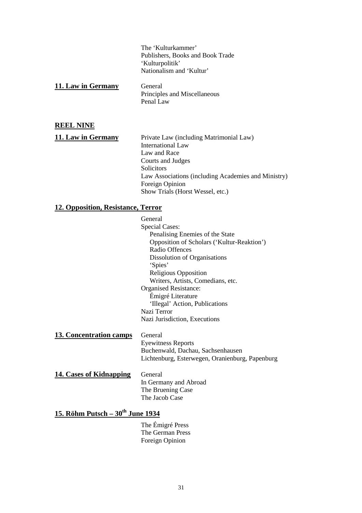The 'Kulturkammer' Publishers, Books and Book Trade 'Kulturpolitik' Nationalism and 'Kultur'

| 11. Law in Germany | General                      |
|--------------------|------------------------------|
|                    | Principles and Miscellaneous |
|                    | Penal Law                    |

#### **REEL NINE**

**11. Law in Germany** Private Law (including Matrimonial Law) International Law Law and Race Courts and Judges Solicitors Law Associations (including Academies and Ministry) Foreign Opinion Show Trials (Horst Wessel, etc.)

#### **12. Opposition, Resistance, Terror**

General Special Cases: Penalising Enemies of the State Opposition of Scholars ('Kultur-Reaktion') Radio Offences Dissolution of Organisations 'Spies' Religious Opposition Writers, Artists, Comedians, etc. Organised Resistance: Émigré Literature 'Illegal' Action, Publications Nazi Terror Nazi Jurisdiction, Executions

13. Concentration camps General Eyewitness Reports Buchenwald, Dachau, Sachsenhausen Lichtenburg, Esterwegen, Oranienburg, Papenburg **14. Cases of Kidnapping** General

In Germany and Abroad The Bruening Case The Jacob Case

# 15. Röhm Putsch – 30<sup>th</sup> June 1934

The Émigré Press The German Press Foreign Opinion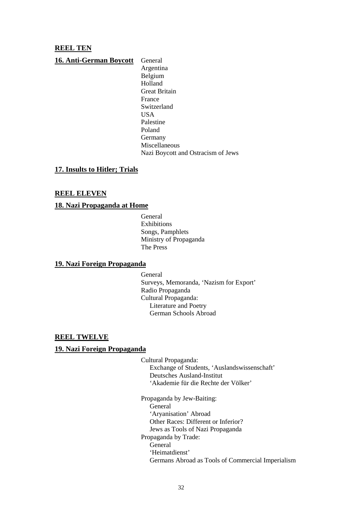#### **REEL TEN**

**16. Anti-German Boycott** General Argentina Belgium Holland Great Britain France Switzerland **USA** Palestine Poland Germany Miscellaneous Nazi Boycott and Ostracism of Jews

#### **17. Insults to Hitler; Trials**

#### **REEL ELEVEN**

#### **18. Nazi Propaganda at Home**

General **Exhibitions** Songs, Pamphlets Ministry of Propaganda The Press

#### **19. Nazi Foreign Propaganda**

General Surveys, Memoranda, 'Nazism for Export' Radio Propaganda Cultural Propaganda: Literature and Poetry German Schools Abroad

#### **REEL TWELVE**

#### **19. Nazi Foreign Propaganda**

Cultural Propaganda: Exchange of Students, 'Auslandswissenschaft' Deutsches Ausland-Institut 'Akademie für die Rechte der Völker'

Propaganda by Jew-Baiting: General 'Aryanisation' Abroad Other Races: Different or Inferior? Jews as Tools of Nazi Propaganda Propaganda by Trade: General 'Heimatdienst' Germans Abroad as Tools of Commercial Imperialism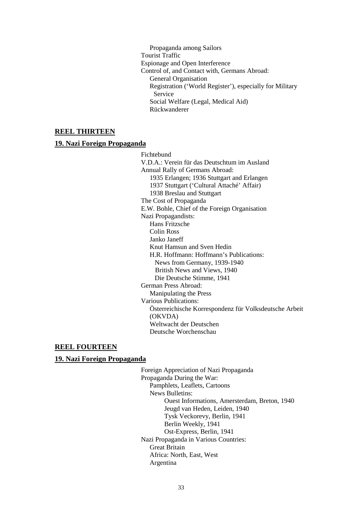Propaganda among Sailors Tourist Traffic Espionage and Open Interference Control of, and Contact with, Germans Abroad: General Organisation Registration ('World Register'), especially for Military Service Social Welfare (Legal, Medical Aid) Rückwanderer

#### **REEL THIRTEEN**

#### **19. Nazi Foreign Propaganda**

Fichtebund V.D.A.: Verein für das Deutschtum im Ausland Annual Rally of Germans Abroad: 1935 Erlangen; 1936 Stuttgart and Erlangen 1937 Stuttgart ('Cultural Attaché' Affair) 1938 Breslau and Stuttgart The Cost of Propaganda E.W. Bohle, Chief of the Foreign Organisation Nazi Propagandists: Hans Fritzsche Colin Ross Janko Janeff Knut Hamsun and Sven Hedin H.R. Hoffmann: Hoffmann's Publications: News from Germany, 1939-1940 British News and Views, 1940 Die Deutsche Stimme, 1941 German Press Abroad: Manipulating the Press Various Publications: Österreichische Korrespondenz für Volksdeutsche Arbeit (OKVDA) Weltwacht der Deutschen Deutsche Worchenschau

#### **REEL FOURTEEN**

#### **19. Nazi Foreign Propaganda**

Foreign Appreciation of Nazi Propaganda Propaganda During the War: Pamphlets, Leaflets, Cartoons News Bulletins: Ouest Informations, Amersterdam, Breton, 1940 Jeugd van Heden, Leiden, 1940 Tysk Veckorevy, Berlin, 1941 Berlin Weekly, 1941 Ost-Express, Berlin, 1941 Nazi Propaganda in Various Countries: Great Britain Africa: North, East, West Argentina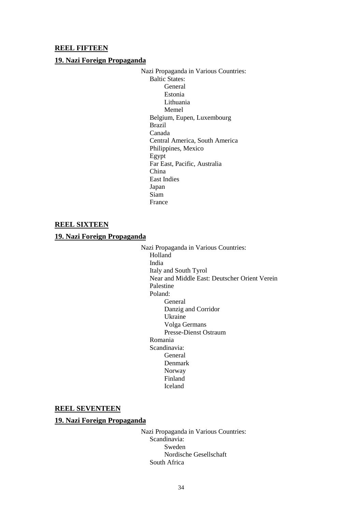#### **REEL FIFTEEN**

#### **19. Nazi Foreign Propaganda**

Nazi Propaganda in Various Countries: Baltic States: General Estonia Lithuania Memel Belgium, Eupen, Luxembourg Brazil Canada Central America, South America Philippines, Mexico Egypt Far East, Pacific, Australia China East Indies Japan Siam France

#### **REEL SIXTEEN**

#### **19. Nazi Foreign Propaganda**

Nazi Propaganda in Various Countries: Holland India Italy and South Tyrol Near and Middle East: Deutscher Orient Verein Palestine Poland: General Danzig and Corridor Ukraine Volga Germans Presse-Dienst Ostraum Romania Scandinavia: General Denmark Norway Finland Iceland

#### **REEL SEVENTEEN**

#### **19. Nazi Foreign Propaganda**

Nazi Propaganda in Various Countries: Scandinavia: Sweden Nordische Gesellschaft South Africa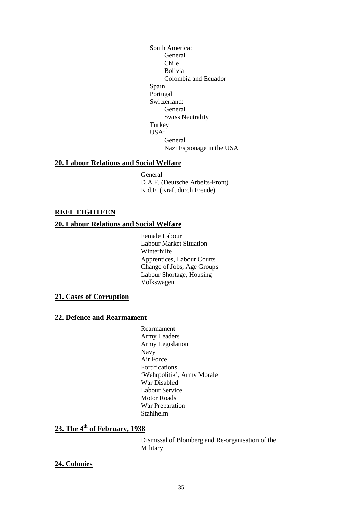South America: General Chile Bolivia Colombia and Ecuador Spain Portugal Switzerland: General Swiss Neutrality Turkey USA: General Nazi Espionage in the USA

#### **20. Labour Relations and Social Welfare**

General D.A.F. (Deutsche Arbeits-Front) K.d.F. (Kraft durch Freude)

#### **REEL EIGHTEEN**

#### **20. Labour Relations and Social Welfare**

Female Labour Labour Market Situation Winterhilfe Apprentices, Labour Courts Change of Jobs, Age Groups Labour Shortage, Housing Volkswagen

#### **21. Cases of Corruption**

#### **22. Defence and Rearmament**

Rearmament Army Leaders Army Legislation Navy Air Force Fortifications 'Wehrpolitik', Army Morale War Disabled Labour Service Motor Roads War Preparation Stahlhelm

### **23. The 4th of February, 1938**

Dismissal of Blomberg and Re-organisation of the Military

#### **24. Colonies**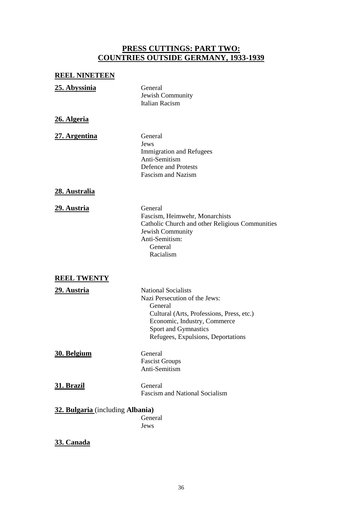# **PRESS CUTTINGS: PART TWO: COUNTRIES OUTSIDE GERMANY, 1933-1939**

### **REEL NINETEEN**

| 25. Abyssinia                    | General<br>Jewish Community<br><b>Italian Racism</b>                                                                                                                                                              |
|----------------------------------|-------------------------------------------------------------------------------------------------------------------------------------------------------------------------------------------------------------------|
| 26. Algeria                      |                                                                                                                                                                                                                   |
| 27. Argentina                    | General<br>Jews<br><b>Immigration and Refugees</b><br>Anti-Semitism<br><b>Defence and Protests</b><br><b>Fascism and Nazism</b>                                                                                   |
| 28. Australia                    |                                                                                                                                                                                                                   |
| 29. Austria                      | General<br>Fascism, Heimwehr, Monarchists<br>Catholic Church and other Religious Communities<br>Jewish Community<br>Anti-Semitism:<br>General<br>Racialism                                                        |
| <b>REEL TWENTY</b>               |                                                                                                                                                                                                                   |
| <u> 29. Austria</u>              | <b>National Socialists</b><br>Nazi Persecution of the Jews:<br>General<br>Cultural (Arts, Professions, Press, etc.)<br>Economic, Industry, Commerce<br>Sport and Gymnastics<br>Refugees, Expulsions, Deportations |
| 30. Belgium                      | General<br><b>Fascist Groups</b><br>Anti-Semitism                                                                                                                                                                 |
| 31. Brazil                       | General<br><b>Fascism and National Socialism</b>                                                                                                                                                                  |
| 32. Bulgaria (including Albania) | General<br>Jews                                                                                                                                                                                                   |

# **33. Canada**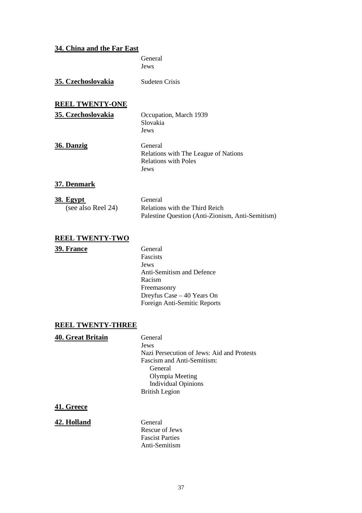## **34. China and the Far East**

General Jews **35. Czechoslovakia** Sudeten Crisis **REEL TWENTY-ONE 35. Czechoslovakia** Occupation, March 1939 Slovakia Jews **36. Danzig** General Relations with The League of Nations Relations with Poles Jews **37. Denmark 38. Egypt** General (see also Reel 24) Relations with the Third Reich Palestine Question (Anti-Zionism, Anti-Semitism)

# **REEL TWENTY-TWO**

#### **39. France** General

Fascists Jews Anti-Semitism and Defence Racism Freemasonry Dreyfus Case – 40 Years On Foreign Anti-Semitic Reports

## **REEL TWENTY-THREE**

| <b>40. Great Britain</b> | General                                    |
|--------------------------|--------------------------------------------|
|                          | Jews                                       |
|                          | Nazi Persecution of Jews: Aid and Protests |
|                          | <b>Fascism and Anti-Semitism:</b>          |
|                          | General                                    |
|                          | Olympia Meeting                            |
|                          | <b>Individual Opinions</b>                 |
|                          | <b>British Legion</b>                      |
|                          |                                            |

## **41. Greece**

#### **42. Holland** General

Rescue of Jews Fascist Parties Anti-Semitism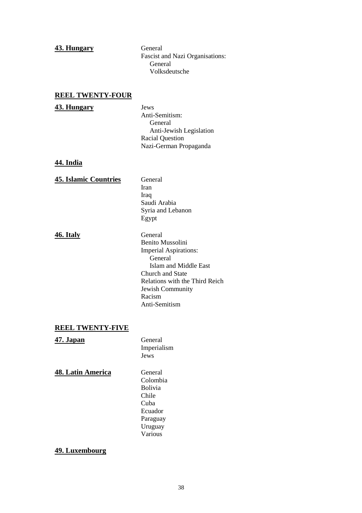#### **43. Hungary** General

Fascist and Nazi Organisations: General Volksdeutsche

## **REEL TWENTY-FOUR**

#### **43. Hungary** Jews

Anti-Semitism: General Anti-Jewish Legislation Racial Question Nazi-German Propaganda

#### **44. India**

## **45. Islamic Countries** General Iran Iraq Saudi Arabia Syria and Lebanon Egypt

**46. Italy** General

Benito Mussolini Imperial Aspirations: General Islam and Middle East Church and State Relations with the Third Reich Jewish Community Racism Anti-Semitism

## **REEL TWENTY-FIVE**

# **47. Japan** General Imperialism Jews **48. Latin America** General Colombia Bolivia Chile Cuba Ecuador Paraguay Uruguay

## **49. Luxembourg**

Various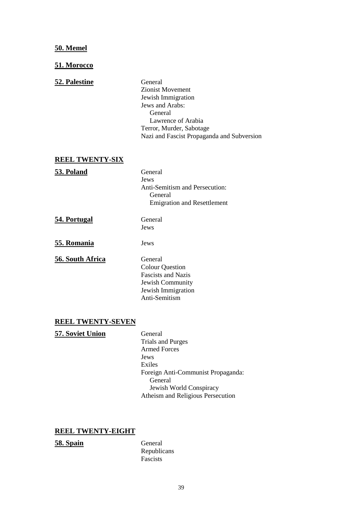## **50. Memel**

### **51. Morocco**

## **52. Palestine** General

Zionist Movement Jewish Immigration Jews and Arabs: General Lawrence of Arabia Terror, Murder, Sabotage Nazi and Fascist Propaganda and Subversion

## **REEL TWENTY-SIX**

**53. Poland** General

Jews Anti-Semitism and Persecution: General Emigration and Resettlement

**54. Portugal** General

Jews

**55. Romania** Jews

**56. South Africa** General

Colour Question Fascists and Nazis Jewish Community Jewish Immigration Anti-Semitism

#### **REEL TWENTY-SEVEN**

**57. Soviet Union** General Trials and Purges Armed Forces Jews Exiles Foreign Anti-Communist Propaganda: General Jewish World Conspiracy Atheism and Religious Persecution

## **REEL TWENTY-EIGHT**

**58. Spain** General

Republicans Fascists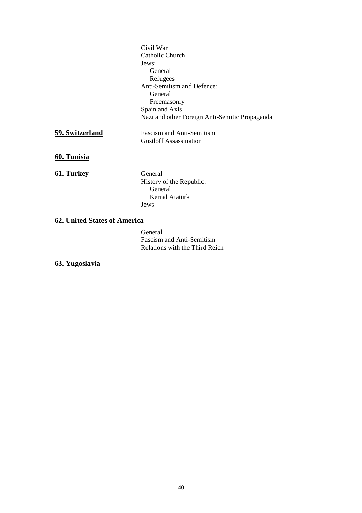|                              | Civil War                                      |  |
|------------------------------|------------------------------------------------|--|
|                              | Catholic Church                                |  |
|                              | Jews:                                          |  |
|                              | General                                        |  |
|                              | Refugees                                       |  |
|                              | Anti-Semitism and Defence:                     |  |
|                              | General                                        |  |
|                              | Freemasonry                                    |  |
|                              | Spain and Axis                                 |  |
|                              | Nazi and other Foreign Anti-Semitic Propaganda |  |
| 59. Switzerland              | <b>Fascism and Anti-Semitism</b>               |  |
|                              | <b>Gustloff Assassination</b>                  |  |
| 60. Tunisia                  |                                                |  |
| 61. Turkey                   | General                                        |  |
|                              | History of the Republic:                       |  |
|                              | General                                        |  |
|                              | Kemal Atatürk                                  |  |
|                              | Jews                                           |  |
| 62. United States of America |                                                |  |

General Fascism and Anti-Semitism Relations with the Third Reich

# **63. Yugoslavia**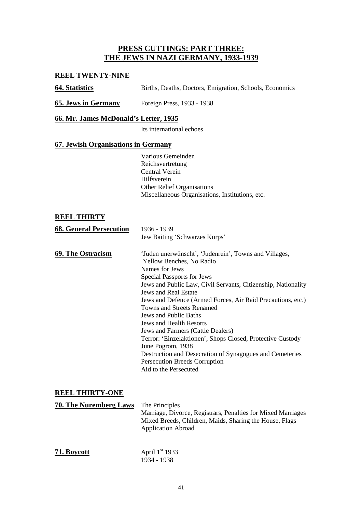# **PRESS CUTTINGS: PART THREE: THE JEWS IN NAZI GERMANY, 1933-1939**

## **REEL TWENTY-NINE**

| <b>64. Statistics</b> |  |  |  | Births, Deaths, Doctors, Emigration, Schools, Economics |  |  |
|-----------------------|--|--|--|---------------------------------------------------------|--|--|
|-----------------------|--|--|--|---------------------------------------------------------|--|--|

**65. Jews in Germany** Foreign Press, 1933 - 1938

## **66. Mr. James McDonald's Letter, 1935**

Its international echoes

## **67. Jewish Organisations in Germany**

Various Gemeinden Reichsvertretung Central Verein Hilfsverein Other Relief Organisations Miscellaneous Organisations, Institutions, etc.

## **REEL THIRTY**

| <b>68. General Persecution</b> | 1936 - 1939                                                                                                                                                                                                                                                                                                                                                                                                                                                                                                                                                                                                                     |
|--------------------------------|---------------------------------------------------------------------------------------------------------------------------------------------------------------------------------------------------------------------------------------------------------------------------------------------------------------------------------------------------------------------------------------------------------------------------------------------------------------------------------------------------------------------------------------------------------------------------------------------------------------------------------|
|                                | Jew Baiting 'Schwarzes Korps'                                                                                                                                                                                                                                                                                                                                                                                                                                                                                                                                                                                                   |
| <b>69. The Ostracism</b>       | 'Juden unerwünscht', 'Judenrein', Towns and Villages,<br>Yellow Benches, No Radio<br>Names for Jews<br>Special Passports for Jews<br>Jews and Public Law, Civil Servants, Citizenship, Nationality<br><b>Jews and Real Estate</b><br>Jews and Defence (Armed Forces, Air Raid Precautions, etc.)<br>Towns and Streets Renamed<br>Jews and Public Baths<br>Jews and Health Resorts<br>Jews and Farmers (Cattle Dealers)<br>Terror: 'Einzelaktionen', Shops Closed, Protective Custody<br>June Pogrom, 1938<br>Destruction and Desecration of Synagogues and Cemeteries<br>Persecution Breeds Corruption<br>Aid to the Persecuted |
|                                |                                                                                                                                                                                                                                                                                                                                                                                                                                                                                                                                                                                                                                 |

## **REEL THIRTY-ONE**

| <b>70. The Nuremberg Laws</b> | The Principles<br>Marriage, Divorce, Registrars, Penalties for Mixed Marriages<br>Mixed Breeds, Children, Maids, Sharing the House, Flags<br><b>Application Abroad</b> |  |
|-------------------------------|------------------------------------------------------------------------------------------------------------------------------------------------------------------------|--|
| 71. Boycott                   | April $1st$ 1933<br>1934 - 1938                                                                                                                                        |  |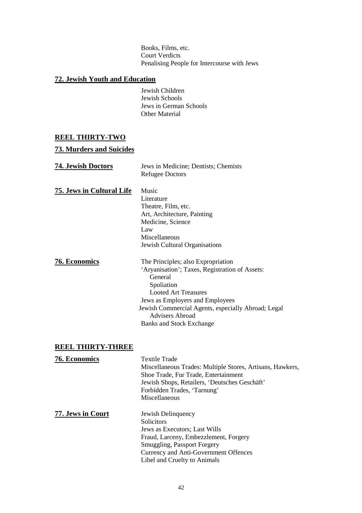Books, Films, etc. Court Verdicts Penalising People for Intercourse with Jews

# **72. Jewish Youth and Education**

Jewish Children Jewish Schools Jews in German Schools Other Material

# **REEL THIRTY-TWO**

# **73. Murders and Suicides**

| <b>74. Jewish Doctors</b>        | Jews in Medicine; Dentists; Chemists<br><b>Refugee Doctors</b>                                                                                                                                                                                                                              |
|----------------------------------|---------------------------------------------------------------------------------------------------------------------------------------------------------------------------------------------------------------------------------------------------------------------------------------------|
| <b>75. Jews in Cultural Life</b> | Music<br>Literature<br>Theatre, Film, etc.<br>Art, Architecture, Painting<br>Medicine, Science<br>Law<br>Miscellaneous<br>Jewish Cultural Organisations                                                                                                                                     |
| <b>76. Economics</b>             | The Principles; also Expropriation<br>'Aryanisation'; Taxes, Registration of Assets:<br>General<br>Spoliation<br><b>Looted Art Treasures</b><br>Jews as Employers and Employees<br>Jewish Commercial Agents, especially Abroad; Legal<br>Advisers Abroad<br><b>Banks and Stock Exchange</b> |

# **REEL THIRTY-THREE**

| <b>76. Economics</b> | <b>Textile Trade</b><br>Miscellaneous Trades: Multiple Stores, Artisans, Hawkers,<br>Shoe Trade, Fur Trade, Entertainment<br>Jewish Shops, Retailers, 'Deutsches Geschäft'<br>Forbidden Trades, 'Tarnung'<br>Miscellaneous |
|----------------------|----------------------------------------------------------------------------------------------------------------------------------------------------------------------------------------------------------------------------|
| 77. Jews in Court    | Jewish Delinquency<br><b>Solicitors</b><br>Jews as Executors; Last Wills<br>Fraud, Larceny, Embezzlement, Forgery<br>Smuggling, Passport Forgery<br>Currency and Anti-Government Offences<br>Libel and Cruelty to Animals  |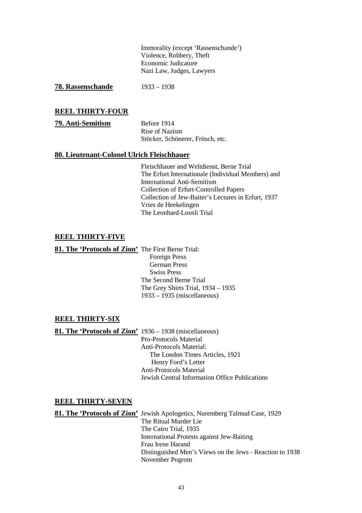Immorality (except 'Rassenschande') Violence, Robbery, Theft Economic Judicature Nazi Law, Judges, Lawyers

**78. Rassenschande** 1933 – 1938

#### **REEL THIRTY-FOUR**

| 79. Anti-Semitism | Before 1914                       |
|-------------------|-----------------------------------|
|                   | Rise of Nazism                    |
|                   | Stöcker, Schönerer, Fritsch, etc. |

#### **80. Lieutenant-Colonel Ulrich Fleischhauer**

Fleischhauer and Weltdienst, Berne Trial The Erfurt Internationale (Individual Members) and International Anti-Semitism Collection of Erfurt-Controlled Papers Collection of Jew-Baiter's Lectures in Erfurt, 1937 Vries de Heekelingen The Leonhard-Loosli Trial

## **REEL THIRTY-FIVE**

**81. The 'Protocols of Zion'** The First Berne Trial:

Foreign Press German Press Swiss Press The Second Berne Trial The Grey Shirts Trial, 1934 – 1935 1933 – 1935 (miscellaneous)

#### **REEL THIRTY-SIX**

**81. The 'Protocols of Zion'** 1936 – 1938 (miscellaneous) Pro-Protocols Material Anti-Protocols Material: The London Times Articles, 1921 Henry Ford's Letter Anti-Protocols Material Jewish Central Information Office Publications

#### **REEL THIRTY-SEVEN**

**81. The 'Protocols of Zion'** Jewish Apologetics, Nuremberg Talmud Case, 1929 The Ritual Murder Lie The Cairo Trial, 1935 International Protests against Jew-Baiting Frau Irene Harand Distinguished Men's Views on the Jews - Reaction to 1938 November Pogrom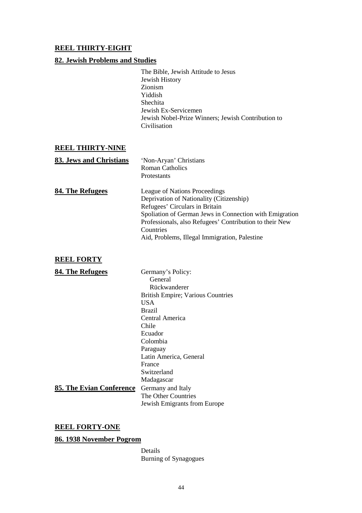## **REEL THIRTY-EIGHT**

## **82. Jewish Problems and Studies**

The Bible, Jewish Attitude to Jesus Jewish History Zionism Yiddish Shechita Jewish Ex-Servicemen Jewish Nobel-Prize Winners; Jewish Contribution to Civilisation

## **REEL THIRTY-NINE**

| 83. Jews and Christians | 'Non-Aryan' Christians                                                  |
|-------------------------|-------------------------------------------------------------------------|
|                         | Roman Catholics                                                         |
|                         | Protestants                                                             |
| 84. The Refugees        | League of Nations Proceedings<br>Deprivation of Nationality (Citizenshi |

Deprivation of Nationality (Citizenship) Refugees' Circulars in Britain Spoliation of German Jews in Connection with Emigration Professionals, also Refugees' Contribution to their New Countries Aid, Problems, Illegal Immigration, Palestine

## **REEL FORTY**

| 84. The Refugees         | Germany's Policy:                        |
|--------------------------|------------------------------------------|
|                          | General                                  |
|                          | Rückwanderer                             |
|                          | <b>British Empire; Various Countries</b> |
|                          | <b>USA</b>                               |
|                          | <b>Brazil</b>                            |
|                          | Central America                          |
|                          | Chile                                    |
|                          | Ecuador                                  |
|                          | Colombia                                 |
|                          | Paraguay                                 |
|                          | Latin America, General                   |
|                          | France                                   |
|                          | Switzerland                              |
|                          | Madagascar                               |
| 85. The Evian Conference | Germany and Italy                        |
|                          | The Other Countries                      |
|                          | Jewish Emigrants from Europe             |

# **REEL FORTY-ONE**

## **86. 1938 November Pogrom**

Details Burning of Synagogues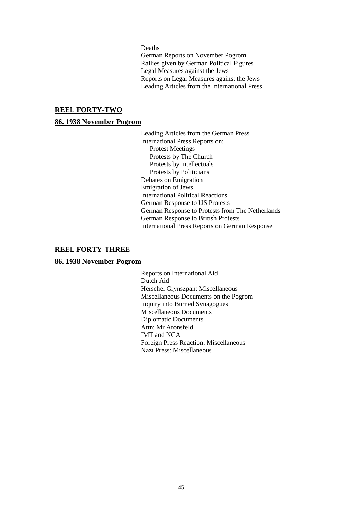Deaths

German Reports on November Pogrom Rallies given by German Political Figures Legal Measures against the Jews Reports on Legal Measures against the Jews Leading Articles from the International Press

### **REEL FORTY-TWO**

#### **86. 1938 November Pogrom**

Leading Articles from the German Press International Press Reports on: Protest Meetings Protests by The Church Protests by Intellectuals Protests by Politicians Debates on Emigration Emigration of Jews International Political Reactions German Response to US Protests German Response to Protests from The Netherlands German Response to British Protests International Press Reports on German Response

## **REEL FORTY-THREE**

#### **86. 1938 November Pogrom**

Reports on International Aid Dutch Aid Herschel Grynszpan: Miscellaneous Miscellaneous Documents on the Pogrom Inquiry into Burned Synagogues Miscellaneous Documents Diplomatic Documents Attn: Mr Aronsfeld IMT and NCA Foreign Press Reaction: Miscellaneous Nazi Press: Miscellaneous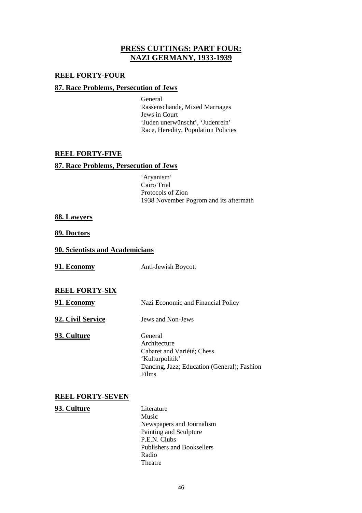# **PRESS CUTTINGS: PART FOUR: NAZI GERMANY, 1933-1939**

## **REEL FORTY-FOUR**

## **87. Race Problems, Persecution of Jews**

General Rassenschande, Mixed Marriages Jews in Court 'Juden unerwünscht', 'Judenrein' Race, Heredity, Population Policies

## **REEL FORTY-FIVE**

## **87. Race Problems, Persecution of Jews**

'Aryanism' Cairo Trial Protocols of Zion 1938 November Pogrom and its aftermath

## **88. Lawyers**

**89. Doctors**

## **90. Scientists and Academicians**

**91. Economy** Anti-Jewish Boycott

## **REEL FORTY-SIX**

**91. Economy** Nazi Economic and Financial Policy

**92. Civil Service** Jews and Non-Jews

**93. Culture** General

Architecture Cabaret and Variété; Chess 'Kulturpolitik' Dancing, Jazz; Education (General); Fashion Films

## **REEL FORTY-SEVEN**

#### **93. Culture** Literature

Music Newspapers and Journalism Painting and Sculpture P.E.N. Clubs Publishers and Booksellers Radio Theatre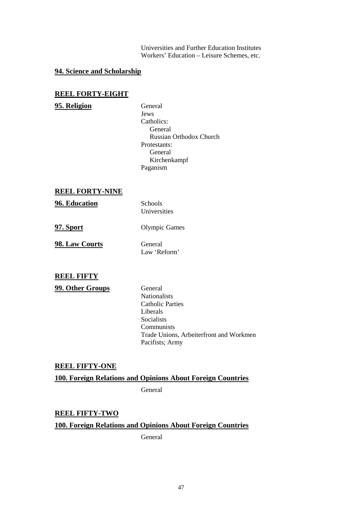Universities and Further Education Institutes Workers' Education – Leisure Schemes, etc.

# **94. Science and Scholarship**

#### **REEL FORTY-EIGHT**

## **95. Religion** General

Jews Catholics: General Russian Orthodox Church Protestants: General Kirchenkampf Paganism

## **REEL FORTY-NINE**

**96. Education** Schools

Universities

**97. Sport** Olympic Games

**98. Law Courts** General Law 'Reform'

**REEL FIFTY**

**99. Other Groups** General

Nationalists Catholic Parties Liberals Socialists Communists Trade Unions, Arbeiterfront and Workmen Pacifists; Army

#### **REEL FIFTY-ONE**

## **100. Foreign Relations and Opinions About Foreign Countries**

General

## **REEL FIFTY-TWO**

## **100. Foreign Relations and Opinions About Foreign Countries**

General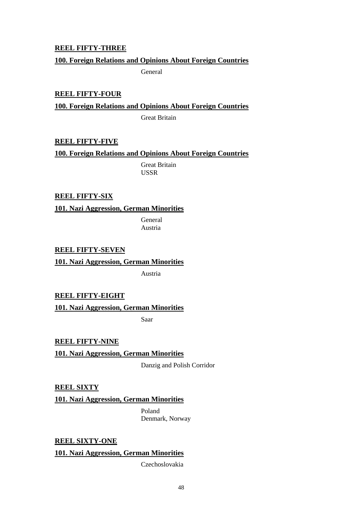## **REEL FIFTY-THREE**

## **100. Foreign Relations and Opinions About Foreign Countries**

General

**REEL FIFTY-FOUR 100. Foreign Relations and Opinions About Foreign Countries** Great Britain

## **REEL FIFTY-FIVE**

**100. Foreign Relations and Opinions About Foreign Countries**

Great Britain USSR

## **REEL FIFTY-SIX**

**101. Nazi Aggression, German Minorities**

General Austria

**REEL FIFTY-SEVEN**

**101. Nazi Aggression, German Minorities**

Austria

**REEL FIFTY-EIGHT**

**101. Nazi Aggression, German Minorities**

Saar

**REEL FIFTY-NINE 101. Nazi Aggression, German Minorities**

Danzig and Polish Corridor

**REEL SIXTY**

**101. Nazi Aggression, German Minorities**

Poland Denmark, Norway

**REEL SIXTY-ONE**

**101. Nazi Aggression, German Minorities**

Czechoslovakia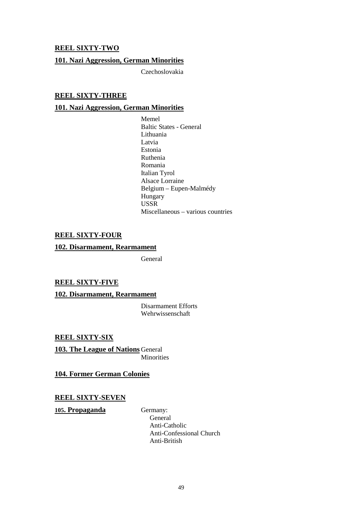## **REEL SIXTY-TWO**

## **101. Nazi Aggression, German Minorities**

Czechoslovakia

## **REEL SIXTY-THREE**

## **101. Nazi Aggression, German Minorities**

Memel Baltic States - General Lithuania Latvia Estonia Ruthenia Romania Italian Tyrol Alsace Lorraine Belgium – Eupen-Malmédy Hungary USSR Miscellaneous – various countries

#### **REEL SIXTY-FOUR**

#### **102. Disarmament, Rearmament**

General

#### **REEL SIXTY-FIVE**

#### **102. Disarmament, Rearmament**

Disarmament Efforts Wehrwissenschaft

**REEL SIXTY-SIX**

**103. The League of Nations** General **Minorities** 

**104. Former German Colonies**

## **REEL SIXTY-SEVEN**

**105. Propaganda** Germany:

General Anti-Catholic Anti-Confessional Church Anti-British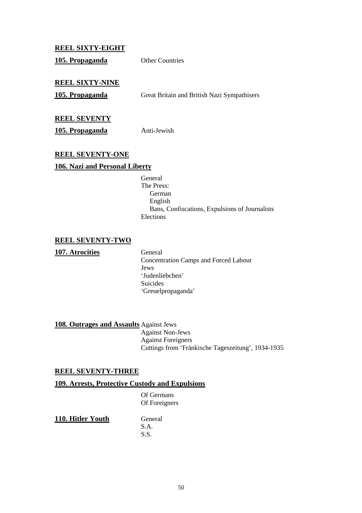## **REEL SIXTY-EIGHT**

105. Propaganda Other Countries

## **REEL SIXTY-NINE**

**105. Propaganda** Great Britain and British Nazi Sympathisers

## **REEL SEVENTY**

**105. Propaganda** Anti-Jewish

## **REEL SEVENTY-ONE**

## **106. Nazi and Personal Liberty**

General The Press: German English Bans, Confiscations, Expulsions of Journalists Elections

# **REEL SEVENTY-TWO**

**107. Atrocities** General

Concentration Camps and Forced Labour Jews 'Judenliebchen' Suicides 'Greuelpropaganda'

**108. Outrages and Assaults** Against Jews

Against Non-Jews Against Foreigners Cuttings from 'Fränkische Tageszeitung', 1934-1935

## **REEL SEVENTY-THREE**

## **109. Arrests, Protective Custody and Expulsions**

Of Germans Of Foreigners

**110. Hitler Youth** General

S.A. S.S.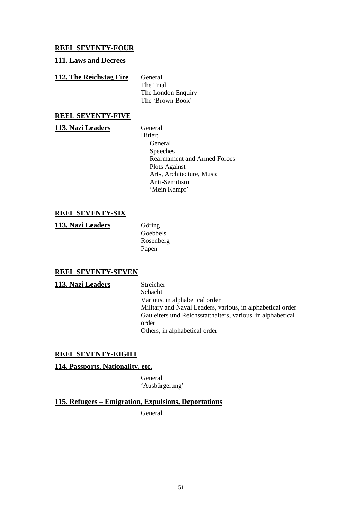## **REEL SEVENTY-FOUR**

## **111. Laws and Decrees**

## **112. The Reichstag Fire** General

The Trial The London Enquiry The 'Brown Book'

## **REEL SEVENTY-FIVE**

113. Nazi Leaders General

Hitler: General Speeches Rearmament and Armed Forces Plots Against Arts, Architecture, Music Anti-Semitism 'Mein Kampf'

# **REEL SEVENTY-SIX**

**113. Nazi Leaders** Göring

Goebbels Rosenberg Papen

## **REEL SEVENTY-SEVEN**

113. Nazi Leaders Streicher Schacht Various, in alphabetical order Military and Naval Leaders, various, in alphabetical order Gauleiters und Reichsstatthalters, various, in alphabetical order Others, in alphabetical order

## **REEL SEVENTY-EIGHT**

#### **114. Passports, Nationality, etc.**

**General** 'Ausbürgerung'

**115. Refugees – Emigration, Expulsions, Deportations**

General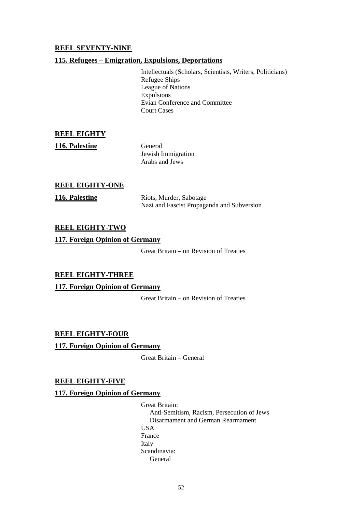# **REEL SEVENTY-NINE**

## **115. Refugees – Emigration, Expulsions, Deportations**

Intellectuals (Scholars, Scientists, Writers, Politicians) Refugee Ships League of Nations Expulsions Evian Conference and Committee Court Cases

## **REEL EIGHTY**

116. Palestine General Jewish Immigration Arabs and Jews

## **REEL EIGHTY-ONE**

**116. Palestine** Riots, Murder, Sabotage Nazi and Fascist Propaganda and Subversion

## **REEL EIGHTY-TWO**

## **117. Foreign Opinion of Germany**

Great Britain – on Revision of Treaties

## **REEL EIGHTY-THREE**

## **117. Foreign Opinion of Germany**

Great Britain – on Revision of Treaties

## **REEL EIGHTY-FOUR**

**117. Foreign Opinion of Germany**

Great Britain – General

## **REEL EIGHTY-FIVE**

#### **117. Foreign Opinion of Germany**

Great Britain: Anti-Semitism, Racism, Persecution of Jews Disarmament and German Rearmament USA France Italy Scandinavia: General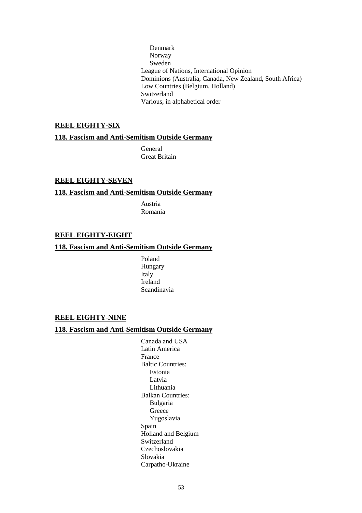Denmark Norway Sweden League of Nations, International Opinion Dominions (Australia, Canada, New Zealand, South Africa) Low Countries (Belgium, Holland) Switzerland Various, in alphabetical order

## **REEL EIGHTY-SIX**

## **118. Fascism and Anti-Semitism Outside Germany**

General Great Britain

## **REEL EIGHTY-SEVEN**

## **118. Fascism and Anti-Semitism Outside Germany**

Austria Romania

#### **REEL EIGHTY-EIGHT**

## **118. Fascism and Anti-Semitism Outside Germany**

Poland Hungary Italy Ireland Scandinavia

#### **REEL EIGHTY-NINE**

## **118. Fascism and Anti-Semitism Outside Germany**

Canada and USA Latin America France Baltic Countries: Estonia Latvia Lithuania Balkan Countries: Bulgaria Greece Yugoslavia Spain Holland and Belgium Switzerland Czechoslovakia Slovakia Carpatho-Ukraine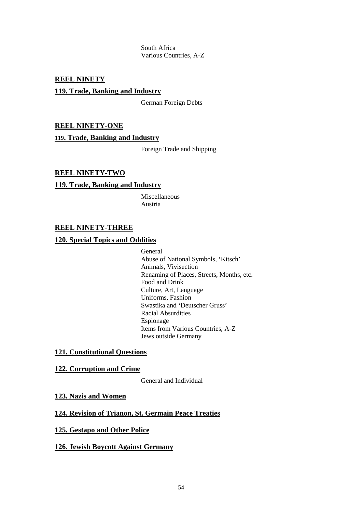South Africa Various Countries, A-Z

## **REEL NINETY**

## **119. Trade, Banking and Industry**

German Foreign Debts

## **REEL NINETY-ONE**

#### **119. Trade, Banking and Industry**

Foreign Trade and Shipping

## **REEL NINETY-TWO**

#### **119. Trade, Banking and Industry**

Miscellaneous Austria

## **REEL NINETY-THREE**

#### **120. Special Topics and Oddities**

General Abuse of National Symbols, 'Kitsch' Animals, Vivisection Renaming of Places, Streets, Months, etc. Food and Drink Culture, Art, Language Uniforms, Fashion Swastika and 'Deutscher Gruss' Racial Absurdities Espionage Items from Various Countries, A-Z Jews outside Germany

#### **121. Constitutional Questions**

#### **122. Corruption and Crime**

General and Individual

#### **123. Nazis and Women**

## **124. Revision of Trianon, St. Germain Peace Treaties**

## **125. Gestapo and Other Police**

#### **126. Jewish Boycott Against Germany**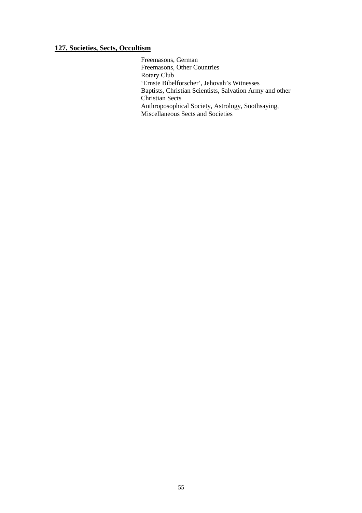# **127. Societies, Sects, Occultism**

Freemasons, German Freemasons, Other Countries Rotary Club 'Ernste Bibelforscher', Jehovah's Witnesses Baptists, Christian Scientists, Salvation Army and other Christian Sects Anthroposophical Society, Astrology, Soothsaying, Miscellaneous Sects and Societies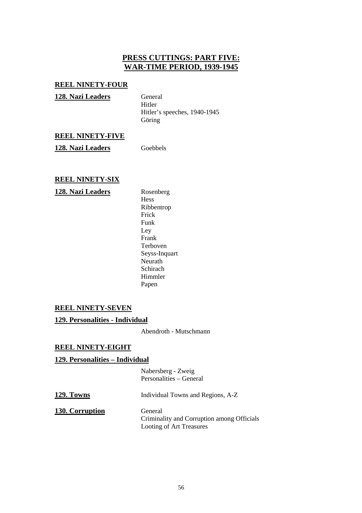# **PRESS CUTTINGS: PART FIVE: WAR-TIME PERIOD, 1939-1945**

## **REEL NINETY-FOUR**

| 128. Nazi Leaders | General                      |
|-------------------|------------------------------|
|                   | Hitler                       |
|                   | Hitler's speeches, 1940-1945 |
|                   | Göring                       |
|                   |                              |

## **REEL NINETY-FIVE**

**128. Nazi Leaders** Goebbels

# **REEL NINETY-SIX**

## **128. Nazi Leaders** Rosenberg

Hess Ribbentrop Frick Funk Ley Frank Terboven Seyss-Inquart Neurath Schirach Himmler Papen

## **REEL NINETY-SEVEN**

## **129. Personalities - Individual**

Abendroth - Mutschmann

## **REEL NINETY-EIGHT**

## **129. Personalities – Individual**

Nabersberg - Zweig Personalities – General

| 129. Towns      | Individual Towns and Regions, A-Z                     |
|-----------------|-------------------------------------------------------|
| 130. Corruption | General<br>Criminality and Corruption among Officials |
|                 | Looting of Art Treasures                              |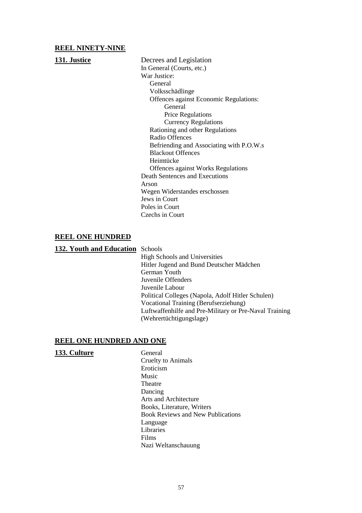## **REEL NINETY-NINE**

**131. Justice** Decrees and Legislation In General (Courts, etc.) War Justice: General Volksschädlinge Offences against Economic Regulations: General Price Regulations Currency Regulations Rationing and other Regulations Radio Offences Befriending and Associating with P.O.W.s Blackout Offences Heimtücke Offences against Works Regulations Death Sentences and Executions Arson Wegen Widerstandes erschossen Jews in Court Poles in Court Czechs in Court

## **REEL ONE HUNDRED**

**132. Youth and Education** Schools

High Schools and Universities Hitler Jugend and Bund Deutscher Mädchen German Youth Juvenile Offenders Juvenile Labour Political Colleges (Napola, Adolf Hitler Schulen) Vocational Training (Berufserziehung) Luftwaffenhilfe and Pre-Military or Pre-Naval Training (Wehrertüchtigungslage)

#### **REEL ONE HUNDRED AND ONE**

| 133. Culture | General                                  |
|--------------|------------------------------------------|
|              | Cruelty to Animals                       |
|              | Eroticism                                |
|              | Music                                    |
|              | Theatre                                  |
|              | Dancing                                  |
|              | Arts and Architecture                    |
|              | Books, Literature, Writers               |
|              | <b>Book Reviews and New Publications</b> |
|              | Language                                 |
|              | Libraries                                |
|              | Films                                    |
|              | Nazi Weltanschauung                      |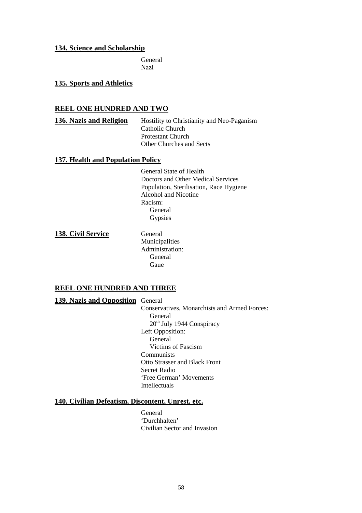## **134. Science and Scholarship**

General Nazi

**135. Sports and Athletics**

## **REEL ONE HUNDRED AND TWO**

**136. Nazis and Religion** Hostility to Christianity and Neo-Paganism Catholic Church Protestant Church Other Churches and Sects

### **137. Health and Population Policy**

General State of Health Doctors and Other Medical Services Population, Sterilisation, Race Hygiene Alcohol and Nicotine Racism: General **Gypsies** 

**138. Civil Service** General

Municipalities Administration: General Gaue

## **REEL ONE HUNDRED AND THREE**

**139. Nazis and Opposition** General

Conservatives, Monarchists and Armed Forces: General  $20<sup>th</sup>$  July 1944 Conspiracy Left Opposition: **General** Victims of Fascism **Communists** Otto Strasser and Black Front Secret Radio 'Free German' Movements Intellectuals

## **140. Civilian Defeatism, Discontent, Unrest, etc.**

General 'Durchhalten' Civilian Sector and Invasion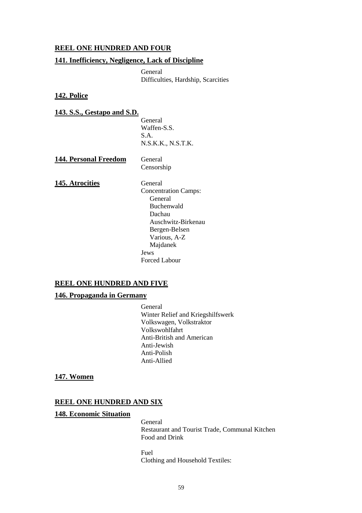## **REEL ONE HUNDRED AND FOUR**

## **141. Inefficiency, Negligence, Lack of Discipline**

General Difficulties, Hardship, Scarcities

## **142. Police**

## **143. S.S., Gestapo and S.D.**

General Waffen-S.S. S.A. N.S.K.K., N.S.T.K.

144. Personal Freedom General Censorship

**145. Atrocities** General

Concentration Camps: General Buchenwald Dachau Auschwitz-Birkenau Bergen-Belsen Various, A-Z Majdanek Jews Forced Labour

## **REEL ONE HUNDRED AND FIVE**

#### **146. Propaganda in Germany**

General Winter Relief and Kriegshilfswerk Volkswagen, Volkstraktor Volkswohlfahrt Anti-British and American Anti-Jewish Anti-Polish Anti-Allied

#### **147. Women**

#### **REEL ONE HUNDRED AND SIX**

#### **148. Economic Situation**

General Restaurant and Tourist Trade, Communal Kitchen Food and Drink

Fuel Clothing and Household Textiles: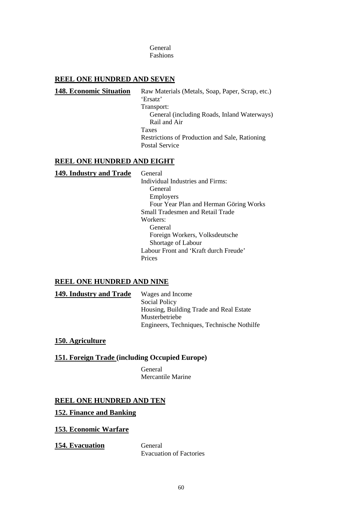General Fashions

## **REEL ONE HUNDRED AND SEVEN**

148. Economic Situation Raw Materials (Metals, Soap, Paper, Scrap, etc.) 'Ersatz' Transport: General (including Roads, Inland Waterways) Rail and Air Taxes Restrictions of Production and Sale, Rationing Postal Service

## **REEL ONE HUNDRED AND EIGHT**

| 149. Industry and Trade | General                                 |
|-------------------------|-----------------------------------------|
|                         | Individual Industries and Firms:        |
|                         | General                                 |
|                         | Employers                               |
|                         | Four Year Plan and Herman Göring Works  |
|                         | <b>Small Tradesmen and Retail Trade</b> |
|                         | Workers:                                |
|                         | General                                 |
|                         | Foreign Workers, Volksdeutsche          |
|                         | Shortage of Labour                      |
|                         | Labour Front and 'Kraft durch Freude'   |
|                         | Prices                                  |
|                         |                                         |

# **REEL ONE HUNDRED AND NINE**

149. **Industry and Trade** Wages and Income Social Policy Housing, Building Trade and Real Estate Musterbetriebe Engineers, Techniques, Technische Nothilfe

## **150. Agriculture**

## **151. Foreign Trade (including Occupied Europe)**

General Mercantile Marine

## **REEL ONE HUNDRED AND TEN**

#### **152. Finance and Banking**

#### **153. Economic Warfare**

154. Evacuation General

Evacuation of Factories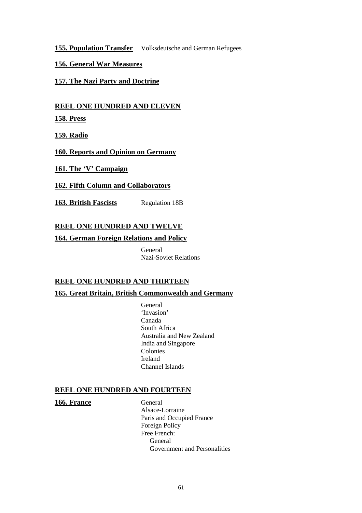**155. Population Transfer** Volksdeutsche and German Refugees

# **156. General War Measures**

**157. The Nazi Party and Doctrine**

**REEL ONE HUNDRED AND ELEVEN**

**158. Press**

**159. Radio**

**160. Reports and Opinion on Germany**

**161. The 'V' Campaign**

**162. Fifth Column and Collaborators**

163. British Fascists Regulation 18B

# **REEL ONE HUNDRED AND TWELVE**

**164. German Foreign Relations and Policy**

General Nazi-Soviet Relations

# **REEL ONE HUNDRED AND THIRTEEN**

**165. Great Britain, British Commonwealth and Germany**

General 'Invasion' Canada South Africa Australia and New Zealand India and Singapore Colonies Ireland Channel Islands

## **REEL ONE HUNDRED AND FOURTEEN**

166. France General

Alsace-Lorraine Paris and Occupied France Foreign Policy Free French: General Government and Personalities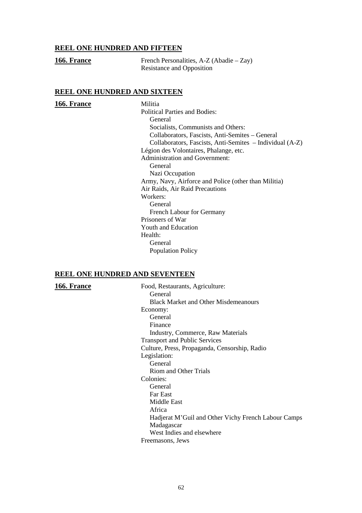## **REEL ONE HUNDRED AND FIFTEEN**

| 166. France | French Personalities, $A-Z$ (Abadie – Zay) |
|-------------|--------------------------------------------|
|             | Resistance and Opposition                  |

#### **REEL ONE HUNDRED AND SIXTEEN**

#### **166. France** Militia

Political Parties and Bodies: General Socialists, Communists and Others: Collaborators, Fascists, Anti-Semites – General Collaborators, Fascists, Anti-Semites – Individual (A-Z) Légion des Volontaires, Phalange, etc. Administration and Government: General Nazi Occupation Army, Navy, Airforce and Police (other than Militia) Air Raids, Air Raid Precautions Workers: General French Labour for Germany Prisoners of War Youth and Education Health: General Population Policy

#### **REEL ONE HUNDRED AND SEVENTEEN**

166. France Food, Restaurants, Agriculture: General Black Market and Other Misdemeanours Economy: General Finance Industry, Commerce, Raw Materials Transport and Public Services Culture, Press, Propaganda, Censorship, Radio Legislation: **General** Riom and Other Trials Colonies: General Far East Middle East Africa Hadjerat M'Guil and Other Vichy French Labour Camps Madagascar West Indies and elsewhere Freemasons, Jews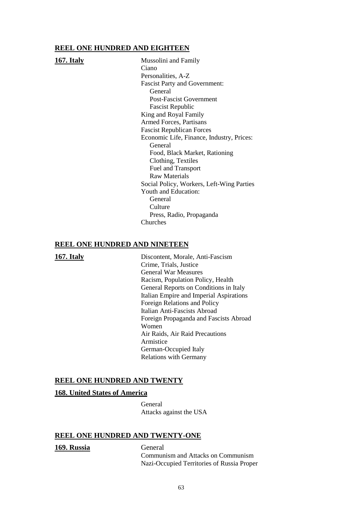#### **REEL ONE HUNDRED AND EIGHTEEN**

**167. Italy** Mussolini and Family Ciano Personalities, A-Z Fascist Party and Government: General Post-Fascist Government Fascist Republic King and Royal Family Armed Forces, Partisans Fascist Republican Forces Economic Life, Finance, Industry, Prices: General Food, Black Market, Rationing Clothing, Textiles Fuel and Transport Raw Materials Social Policy, Workers, Left-Wing Parties Youth and Education: General Culture Press, Radio, Propaganda Churches

## **REEL ONE HUNDRED AND NINETEEN**

**167. Italy** Discontent, Morale, Anti-Fascism Crime, Trials, Justice General War Measures Racism, Population Policy, Health General Reports on Conditions in Italy Italian Empire and Imperial Aspirations Foreign Relations and Policy Italian Anti-Fascists Abroad Foreign Propaganda and Fascists Abroad Women Air Raids, Air Raid Precautions Armistice German-Occupied Italy Relations with Germany

#### **REEL ONE HUNDRED AND TWENTY**

#### **168. United States of America**

General Attacks against the USA

#### **REEL ONE HUNDRED AND TWENTY-ONE**

#### **169. Russia** General

Communism and Attacks on Communism Nazi-Occupied Territories of Russia Proper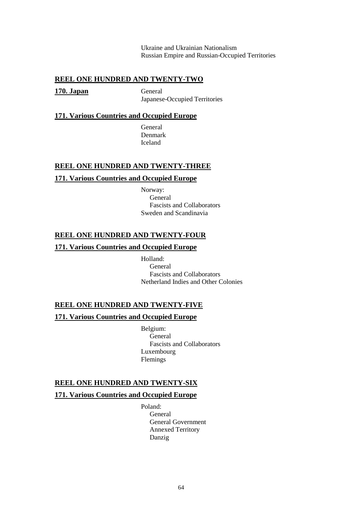Ukraine and Ukrainian Nationalism Russian Empire and Russian-Occupied Territories

## **REEL ONE HUNDRED AND TWENTY-TWO**

**170. Japan** General

Japanese-Occupied Territories

#### **171. Various Countries and Occupied Europe**

**General** Denmark Iceland

## **REEL ONE HUNDRED AND TWENTY-THREE**

#### **171. Various Countries and Occupied Europe**

Norway: **General** Fascists and Collaborators Sweden and Scandinavia

## **REEL ONE HUNDRED AND TWENTY-FOUR**

## **171. Various Countries and Occupied Europe**

Holland: General Fascists and Collaborators Netherland Indies and Other Colonies

## **REEL ONE HUNDRED AND TWENTY-FIVE**

## **171. Various Countries and Occupied Europe**

Belgium: General Fascists and Collaborators Luxembourg Flemings

#### **REEL ONE HUNDRED AND TWENTY-SIX**

#### **171. Various Countries and Occupied Europe**

Poland: General General Government Annexed Territory Danzig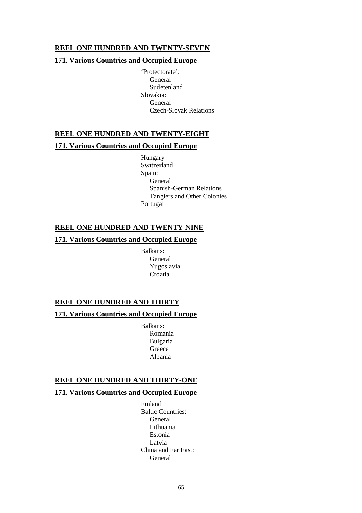## **REEL ONE HUNDRED AND TWENTY-SEVEN**

## **171. Various Countries and Occupied Europe**

'Protectorate': General Sudetenland Slovakia: General Czech-Slovak Relations

# **REEL ONE HUNDRED AND TWENTY-EIGHT**

## **171. Various Countries and Occupied Europe**

Hungary Switzerland Spain: General Spanish-German Relations Tangiers and Other Colonies Portugal

## **REEL ONE HUNDRED AND TWENTY-NINE**

## **171. Various Countries and Occupied Europe**

Balkans: General Yugoslavia Croatia

# **REEL ONE HUNDRED AND THIRTY**

### **171. Various Countries and Occupied Europe**

Balkans: Romania Bulgaria **Greece** Albania

## **REEL ONE HUNDRED AND THIRTY-ONE**

## **171. Various Countries and Occupied Europe**

Finland Baltic Countries: General Lithuania Estonia Latvia China and Far East: General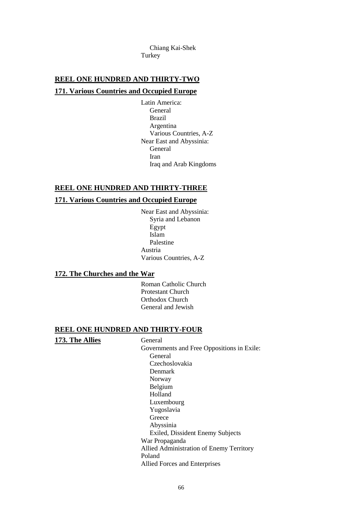Chiang Kai-Shek Turkey

## **REEL ONE HUNDRED AND THIRTY-TWO**

#### **171. Various Countries and Occupied Europe**

Latin America: General Brazil Argentina Various Countries, A-Z Near East and Abyssinia: General Iran Iraq and Arab Kingdoms

#### **REEL ONE HUNDRED AND THIRTY-THREE**

#### **171. Various Countries and Occupied Europe**

Near East and Abyssinia: Syria and Lebanon Egypt Islam Palestine Austria Various Countries, A-Z

#### **172. The Churches and the War**

Roman Catholic Church Protestant Church Orthodox Church General and Jewish

#### **REEL ONE HUNDRED AND THIRTY-FOUR**

#### **173. The Allies** General

Governments and Free Oppositions in Exile: General Czechoslovakia Denmark Norway Belgium Holland Luxembourg Yugoslavia Greece Abyssinia Exiled, Dissident Enemy Subjects War Propaganda Allied Administration of Enemy Territory Poland Allied Forces and Enterprises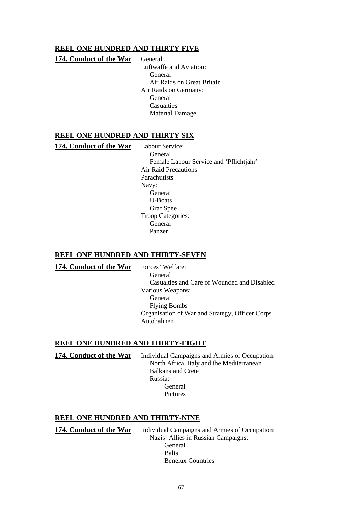## **REEL ONE HUNDRED AND THIRTY-FIVE**

## **174. Conduct of the War** General

Luftwaffe and Aviation: General Air Raids on Great Britain Air Raids on Germany: General **Casualties** Material Damage

## **REEL ONE HUNDRED AND THIRTY-SIX**

**174. Conduct of the War** Labour Service:

General Female Labour Service and 'Pflichtjahr' Air Raid Precautions **Parachutists** Navy: General U-Boats Graf Spee Troop Categories: General Panzer

## **REEL ONE HUNDRED AND THIRTY-SEVEN**

174. Conduct of the War Forces' Welfare:

General Casualties and Care of Wounded and Disabled Various Weapons: General Flying Bombs Organisation of War and Strategy, Officer Corps Autobahnen

## **REEL ONE HUNDRED AND THIRTY-EIGHT**

**174. Conduct of the War** Individual Campaigns and Armies of Occupation: North Africa, Italy and the Mediterranean Balkans and Crete Russia: General Pictures

## **REEL ONE HUNDRED AND THIRTY-NINE**

**174. Conduct of the War** Individual Campaigns and Armies of Occupation: Nazis' Allies in Russian Campaigns: General **Balts** Benelux Countries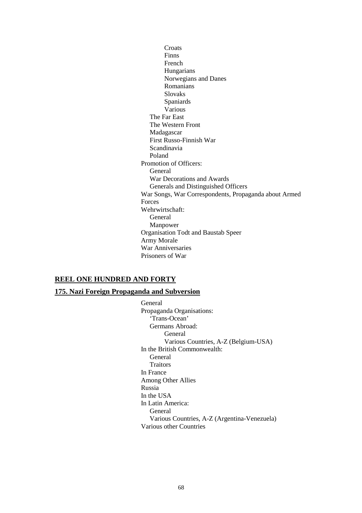**Croats** Finns French Hungarians Norwegians and Danes Romanians Slovaks Spaniards Various The Far East The Western Front Madagascar First Russo-Finnish War Scandinavia Poland Promotion of Officers: General War Decorations and Awards Generals and Distinguished Officers War Songs, War Correspondents, Propaganda about Armed Forces Wehrwirtschaft: General Manpower Organisation Todt and Baustab Speer Army Morale War Anniversaries Prisoners of War

## **REEL ONE HUNDRED AND FORTY**

## **175. Nazi Foreign Propaganda and Subversion**

General Propaganda Organisations: 'Trans-Ocean' Germans Abroad: General Various Countries, A-Z (Belgium-USA) In the British Commonwealth: General Traitors In France Among Other Allies Russia In the USA In Latin America: General Various Countries, A-Z (Argentina-Venezuela) Various other Countries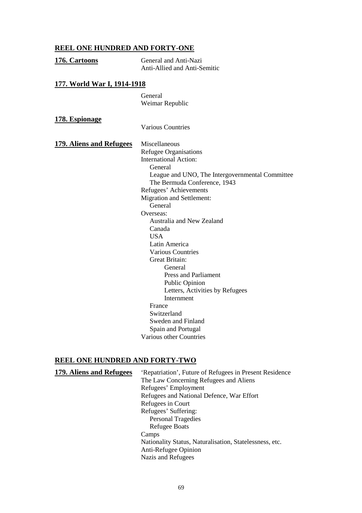# **REEL ONE HUNDRED AND FORTY-ONE**

| 176. Cartoons                      | General and Anti-Nazi                             |
|------------------------------------|---------------------------------------------------|
|                                    | Anti-Allied and Anti-Semitic                      |
| <u>177. World War I, 1914-1918</u> |                                                   |
|                                    | General                                           |
|                                    | Weimar Republic                                   |
| 178. Espionage                     |                                                   |
|                                    | <b>Various Countries</b>                          |
| <b>179. Aliens and Refugees</b>    | Miscellaneous                                     |
|                                    | <b>Refugee Organisations</b>                      |
|                                    | <b>International Action:</b>                      |
|                                    | General                                           |
|                                    | League and UNO, The Intergovernmental Committee   |
|                                    | The Bermuda Conference, 1943                      |
|                                    | Refugees' Achievements                            |
|                                    | <b>Migration and Settlement:</b>                  |
|                                    | General                                           |
|                                    | Overseas:                                         |
|                                    | Australia and New Zealand                         |
|                                    | Canada                                            |
|                                    | <b>USA</b>                                        |
|                                    | Latin America                                     |
|                                    | <b>Various Countries</b><br><b>Great Britain:</b> |
|                                    | General                                           |
|                                    | <b>Press and Parliament</b>                       |
|                                    | <b>Public Opinion</b>                             |
|                                    | Letters, Activities by Refugees                   |
|                                    | Internment                                        |
|                                    | France                                            |
|                                    | Switzerland                                       |
|                                    | Sweden and Finland                                |
|                                    | Spain and Portugal                                |
|                                    | Various other Countries                           |
|                                    |                                                   |

# **REEL ONE HUNDRED AND FORTY-TWO**

| 179. Aliens and Refugees | 'Repatriation', Future of Refugees in Present Residence |
|--------------------------|---------------------------------------------------------|
|                          | The Law Concerning Refugees and Aliens                  |
|                          | Refugees' Employment                                    |
|                          | Refugees and National Defence, War Effort               |
|                          | Refugees in Court                                       |
|                          | Refugees' Suffering:                                    |
|                          | <b>Personal Tragedies</b>                               |
|                          | <b>Refugee Boats</b>                                    |
|                          | Camps                                                   |
|                          | Nationality Status, Naturalisation, Statelessness, etc. |
|                          | Anti-Refugee Opinion                                    |
|                          | Nazis and Refugees                                      |
|                          |                                                         |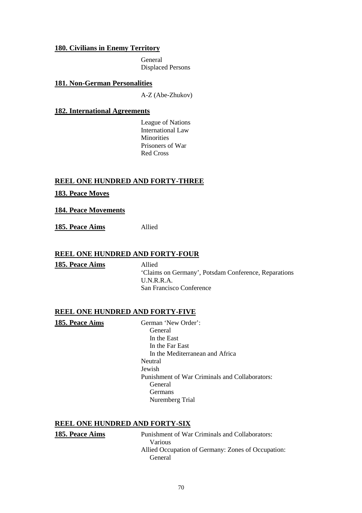## **180. Civilians in Enemy Territory**

General Displaced Persons

## **181. Non-German Personalities**

A-Z (Abe-Zhukov)

## **182. International Agreements**

League of Nations International Law Minorities Prisoners of War Red Cross

## **REEL ONE HUNDRED AND FORTY-THREE**

## **183. Peace Moves**

**184. Peace Movements**

**185. Peace Aims** Allied

## **REEL ONE HUNDRED AND FORTY-FOUR**

**185. Peace Aims** Allied

'Claims on Germany', Potsdam Conference, Reparations U.N.R.R.A. San Francisco Conference

## **REEL ONE HUNDRED AND FORTY-FIVE**

**185. Peace Aims** German 'New Order': General In the East In the Far East In the Mediterranean and Africa Neutral Jewish Punishment of War Criminals and Collaborators: General Germans Nuremberg Trial

## **REEL ONE HUNDRED AND FORTY-SIX**

**185. Peace Aims** Punishment of War Criminals and Collaborators: Various Allied Occupation of Germany: Zones of Occupation: General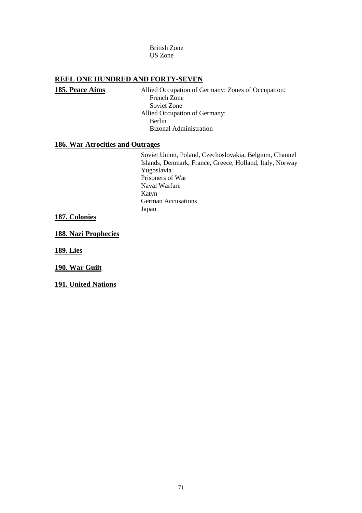British Zone US Zone

## **REEL ONE HUNDRED AND FORTY-SEVEN**

**185. Peace Aims** Allied Occupation of Germany: Zones of Occupation: French Zone Soviet Zone Allied Occupation of Germany: Berlin Bizonal Administration

## **186. War Atrocities and Outrages**

Soviet Union, Poland, Czechoslovakia, Belgium, Channel Islands, Denmark, France, Greece, Holland, Italy, Norway Yugoslavia Prisoners of War Naval Warfare Katyn German Accusations Japan

#### **187. Colonies**

**188. Nazi Prophecies**

**189. Lies**

**190. War Guilt**

**191. United Nations**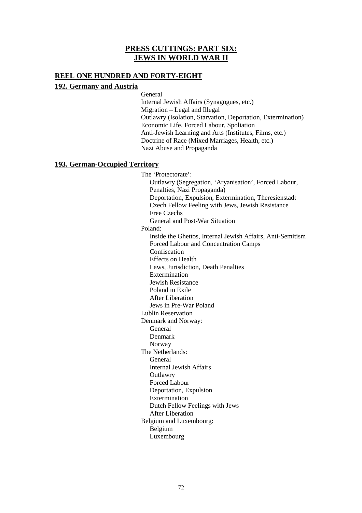# **PRESS CUTTINGS: PART SIX: JEWS IN WORLD WAR II**

## **REEL ONE HUNDRED AND FORTY-EIGHT**

## **192. Germany and Austria**

General Internal Jewish Affairs (Synagogues, etc.) Migration – Legal and Illegal Outlawry (Isolation, Starvation, Deportation, Extermination) Economic Life, Forced Labour, Spoliation Anti-Jewish Learning and Arts (Institutes, Films, etc.) Doctrine of Race (Mixed Marriages, Health, etc.) Nazi Abuse and Propaganda

## **193. German-Occupied Territory**

The 'Protectorate': Outlawry (Segregation, 'Aryanisation', Forced Labour, Penalties, Nazi Propaganda) Deportation, Expulsion, Extermination, Theresienstadt Czech Fellow Feeling with Jews, Jewish Resistance Free Czechs General and Post-War Situation Poland: Inside the Ghettos, Internal Jewish Affairs, Anti-Semitism Forced Labour and Concentration Camps Confiscation Effects on Health Laws, Jurisdiction, Death Penalties Extermination Jewish Resistance Poland in Exile After Liberation Jews in Pre-War Poland Lublin Reservation Denmark and Norway: General Denmark Norway The Netherlands: General Internal Jewish Affairs **Outlawry** Forced Labour Deportation, Expulsion Extermination Dutch Fellow Feelings with Jews After Liberation Belgium and Luxembourg: Belgium Luxembourg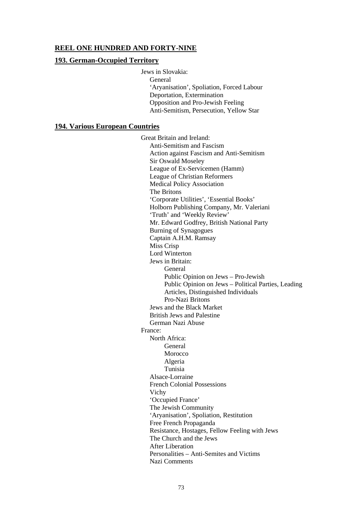### **REEL ONE HUNDRED AND FORTY-NINE**

#### **193. German-Occupied Territory**

Jews in Slovakia: General 'Aryanisation', Spoliation, Forced Labour Deportation, Extermination Opposition and Pro-Jewish Feeling Anti-Semitism, Persecution, Yellow Star

#### **194. Various European Countries**

Great Britain and Ireland: Anti-Semitism and Fascism Action against Fascism and Anti-Semitism Sir Oswald Moseley League of Ex-Servicemen (Hamm) League of Christian Reformers Medical Policy Association The Britons 'Corporate Utilities', 'Essential Books' Holborn Publishing Company, Mr. Valeriani 'Truth' and 'Weekly Review' Mr. Edward Godfrey, British National Party Burning of Synagogues Captain A.H.M. Ramsay Miss Crisp Lord Winterton Jews in Britain: General Public Opinion on Jews – Pro-Jewish Public Opinion on Jews – Political Parties, Leading Articles, Distinguished Individuals Pro-Nazi Britons Jews and the Black Market British Jews and Palestine German Nazi Abuse France: North Africa: General Morocco Algeria Tunisia Alsace-Lorraine French Colonial Possessions Vichy 'Occupied France' The Jewish Community 'Aryanisation', Spoliation, Restitution Free French Propaganda Resistance, Hostages, Fellow Feeling with Jews The Church and the Jews After Liberation Personalities – Anti-Semites and Victims Nazi Comments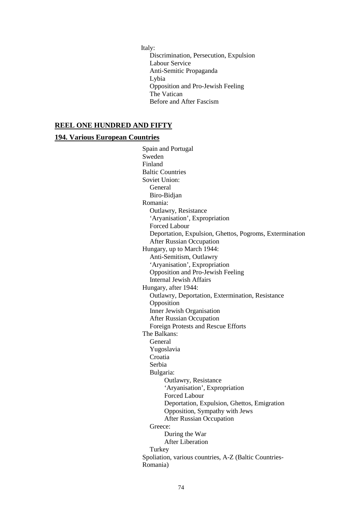Italy:

Discrimination, Persecution, Expulsion Labour Service Anti-Semitic Propaganda Lybia Opposition and Pro-Jewish Feeling The Vatican Before and After Fascism

### **REEL ONE HUNDRED AND FIFTY**

#### **194. Various European Countries**

Spain and Portugal Sweden Finland Baltic Countries Soviet Union: General Biro-Bidjan Romania: Outlawry, Resistance 'Aryanisation', Expropriation Forced Labour Deportation, Expulsion, Ghettos, Pogroms, Extermination After Russian Occupation Hungary, up to March 1944: Anti-Semitism, Outlawry 'Aryanisation', Expropriation Opposition and Pro-Jewish Feeling Internal Jewish Affairs Hungary, after 1944: Outlawry, Deportation, Extermination, Resistance Opposition Inner Jewish Organisation After Russian Occupation Foreign Protests and Rescue Efforts The Balkans: General Yugoslavia Croatia Serbia Bulgaria: Outlawry, Resistance 'Aryanisation', Expropriation Forced Labour Deportation, Expulsion, Ghettos, Emigration Opposition, Sympathy with Jews After Russian Occupation Greece: During the War After Liberation **Turkey** Spoliation, various countries, A-Z (Baltic Countries-Romania)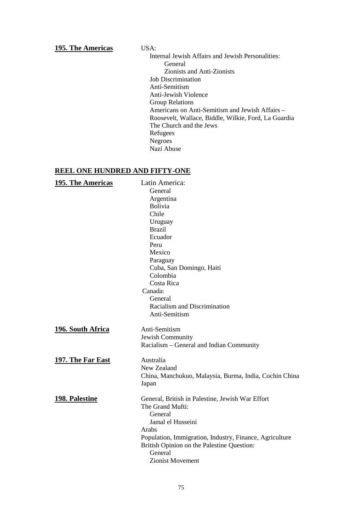#### **195. The Americas** USA:

Internal Jewish Affairs and Jewish Personalities: General Zionists and Anti-Zionists Job Discrimination Anti-Semitism Anti-Jewish Violence Group Relations Americans on Anti-Semitism and Jewish Affairs – Roosevelt, Wallace, Biddle, Wilkie, Ford, La Guardia The Church and the Jews Refugees Negroes Nazi Abuse

# **REEL ONE HUNDRED AND FIFTY-ONE**

| 195. The Americas     | Latin America:                                                  |
|-----------------------|-----------------------------------------------------------------|
|                       | General                                                         |
|                       | Argentina                                                       |
|                       | Bolivia                                                         |
|                       | Chile                                                           |
|                       | Uruguay                                                         |
|                       | <b>Brazil</b>                                                   |
|                       | Ecuador                                                         |
|                       | Peru                                                            |
|                       | Mexico                                                          |
|                       | Paraguay                                                        |
|                       | Cuba, San Domingo, Haiti                                        |
|                       | Colombia                                                        |
|                       | Costa Rica                                                      |
|                       | Canada:                                                         |
|                       | General                                                         |
|                       | Racialism and Discrimination                                    |
|                       | Anti-Semitism                                                   |
| 196. South Africa     | Anti-Semitism                                                   |
|                       | Jewish Community                                                |
|                       | Racialism - General and Indian Community                        |
| 197. The Far East     | Australia                                                       |
|                       | New Zealand                                                     |
|                       | China, Manchukuo, Malaysia, Burma, India, Cochin China<br>Japan |
| <b>198. Palestine</b> | General, British in Palestine, Jewish War Effort                |
|                       | The Grand Mufti:                                                |
|                       | General                                                         |
|                       | Jamal el Husseini                                               |
|                       | Arabs                                                           |
|                       | Population, Immigration, Industry, Finance, Agriculture         |
|                       | British Opinion on the Palestine Question:                      |
|                       | General                                                         |
|                       | Zionist Movement                                                |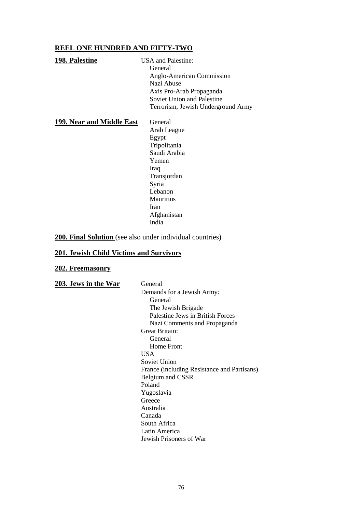### **REEL ONE HUNDRED AND FIFTY-TWO**

| 198. Palestine            | <b>USA</b> and Palestine:          |
|---------------------------|------------------------------------|
|                           | General                            |
|                           | Anglo-American Commission          |
|                           | Nazi Abuse                         |
|                           | Axis Pro-Arab Propaganda           |
|                           | <b>Soviet Union and Palestine</b>  |
|                           | Terrorism, Jewish Underground Army |
| 199. Near and Middle East | General                            |
|                           | Arab League                        |
|                           | Egypt                              |
|                           | Tripolitania                       |
|                           | Saudi Arabia                       |
|                           | Yemen                              |
|                           | Iraq                               |
|                           | Transjordan                        |
|                           | Syria                              |
|                           | Lebanon                            |
|                           | Mauritius                          |

Iran

India

Afghanistan

**200. Final Solution** (see also under individual countries)

## **201. Jewish Child Victims and Survivors**

## **202. Freemasonry**

| 203. Jews in the War | General                                     |
|----------------------|---------------------------------------------|
|                      | Demands for a Jewish Army:                  |
|                      | General                                     |
|                      | The Jewish Brigade                          |
|                      | Palestine Jews in British Forces            |
|                      | Nazi Comments and Propaganda                |
|                      | Great Britain:                              |
|                      | General                                     |
|                      | Home Front                                  |
|                      | <b>USA</b>                                  |
|                      | Soviet Union                                |
|                      | France (including Resistance and Partisans) |
|                      | Belgium and CSSR                            |
|                      | Poland                                      |
|                      | Yugoslavia                                  |
|                      | Greece                                      |
|                      | Australia                                   |
|                      | Canada                                      |
|                      | South Africa                                |
|                      | Latin America                               |
|                      | Jewish Prisoners of War                     |
|                      |                                             |